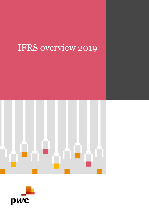# IFRS overview 2019



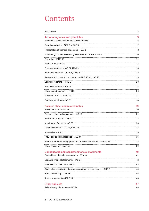### **Contents**

| Introduction                                                                              |        |
|-------------------------------------------------------------------------------------------|--------|
| <b>Accounting rules and principles</b><br>Accounting principles and applicability of IFRS | 5<br>6 |
| First-time adoption of IFRS - IFRS 1                                                      | 7      |
| Presentation of financial statements - IAS 1                                              | 8      |
| Accounting policies, accounting estimates and errors - IAS 8                              | 10     |
| Fair value - IFRS 13                                                                      | 11     |
| <b>Financial instruments</b>                                                              | 12     |
| Foreign currencies - IAS 21, IAS 29                                                       | 16     |
| Insurance contracts - IFRS 4, IFRS 17                                                     | 18     |
| Revenue and construction contracts - IFRS 15 and IAS 20                                   | 19     |
| Segment reporting - IFRS 8                                                                | 23     |
| Employee benefits - IAS 19                                                                | 24     |
| Share-based payment - IFRS 2                                                              | 26     |
| Taxation - IAS 12, IFRIC 23                                                               | 27     |
| Earnings per share - IAS 33                                                               | 28     |
| <b>Balance sheet and related notes</b>                                                    | 29     |
| Intangible assets - IAS 38                                                                | 30     |
| Property, plant and equipment - IAS 16                                                    | 31     |
| Investment property - IAS 40                                                              | 32     |
| Impairment of assets - IAS 36                                                             | 33     |
| Lease accounting - IAS 17, IFRS 16                                                        | 34     |
| Inventories - IAS 2                                                                       | 35     |
| Provisions and contingencies - IAS 37                                                     | 36     |
| Events after the reporting period and financial commitments - IAS 10                      | 38     |
| Share capital and reserves                                                                | 39     |
| <b>Consolidated and separate financial statements</b>                                     | 40     |
| Consolidated financial statements - IFRS 10                                               | 41     |
| Separate financial statements - IAS 27                                                    | 42     |
| Business combinations - IFRS 3                                                            | 43     |
| Disposal of subsidiaries, businesses and non-current assets – IFRS 5                      | 44     |
| Equity accounting - IAS 28                                                                | 45     |
| Joint arrangements - IFRS 11                                                              | 46     |
| <b>Other subjects</b>                                                                     | 47     |
| Related-party disclosures - IAS 24                                                        | 48     |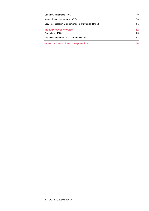| Cash flow statements - IAS 7                          |  |
|-------------------------------------------------------|--|
| Interim financial reporting - IAS 34                  |  |
| Service concession arrangements – SIC 29 and IFRIC 12 |  |
| <b>Industry-specific topics</b>                       |  |
| Agriculture - IAS 41                                  |  |
| Extractive industries - IFRS 6 and IFRIC 20           |  |
| Index by standard and interpretation                  |  |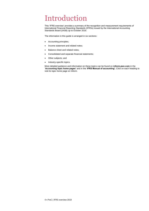# <span id="page-3-0"></span>Introduction

This 'IFRS overview' provides a summary of the recognition and measurement requirements of International Financial Reporting Standards (IFRSs) issued by the International Accounting Standards Board (IASB) up to October 2018.

The information in this guide is arranged in six sections:

- Accounting principles;
- Income statement and related notes;
- Balance sheet and related notes;
- Consolidated and separate financial statements;
- Other subjects; and
- Industry-specific topics.

More detailed guidance and information on these topics can be found on **inform.pwc.com** in the '**Accounting topic home pages'** and in the '**IFRS Manual of accounting'.** Click on each heading to visit its topic home page on Inform.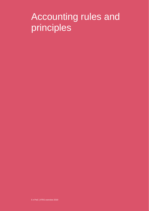# <span id="page-4-0"></span>Accounting rules and principles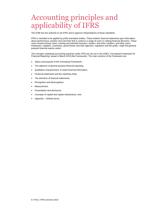### <span id="page-5-0"></span>Accounting principles and applicability of IFRS

The IASB has the authority to set IFRS and to approve interpretations of those standards.

IFRS is intended to be applied by profit-orientated entities. These entities' financial statements give information about performance, position and cash flow that is useful to a range of users in making financial decisions. These users include primary users: existing and potential investors, lenders, and other creditors, and other users: employees, suppliers, customers, governments and their agencies, regulators and the public, might find general purpose financial reports useful.

The concepts underlying accounting practices under IFRS are set out in the IASB's 'Conceptual Framework for Financial Reporting' issued in March 2018 (the Framework). The main sections of the Framework are:

- Status and purpose of the Conceptual Framework;
- The objective of general purpose financial reporting;
- Qualitative characteristics of useful financial information;
- Financial statements and the reporting entity;
- The elements of financial statements;
- Recognition and derecognition;
- Measurement;
- Presentation and disclosure;
- Concepts of capital and capital maintenance; and
- Appendix Defined terms.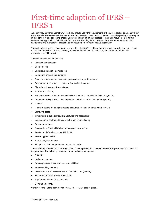### <span id="page-6-0"></span>First-time adoption of IFRS – IFRS 1

An entity moving from national GAAP to IFRS should apply the requirements of IFRS 1. It applies to an entity's first IFRS financial statements and the interim reports presented under IAS 34, 'Interim financial reporting', that are part of that period. It also applies to entities under 'repeated first-time application'. The basic requirement is for full retrospective application of all IFRSs effective at the reporting date. However, there are a number of optional exemptions and mandatory exceptions to the requirement for retrospective application.

The optional exemptions cover standards for which the IASB considers that retrospective application could prove too difficult or could result in a cost likely to exceed any benefits to users. Any, all or none of the optional exemptions could be applied.

The optional exemptions relate to:

- Business combinations;
- Deemed cost;
- Cumulative translation differences;
- Compound financial instruments;
- Assets and liabilities of subsidiaries, associates and joint ventures;
- Designation of previously recognised financial instruments;
- Share-based payment transactions;
- Insurance contracts;
- Fair value measurement of financial assets or financial liabilities at initial recognition;
- Decommissioning liabilities included in the cost of property, plant and equipment;
- Leases;
- Financial assets or intangible assets accounted for in accordance with IFRIC 12;
- Borrowing costs;
- Investments in subsidiaries, joint ventures and associates;
- Designation of contracts to buy or sell a non-financial item;
- Customer contracts;
- Extinguishing financial liabilities with equity instruments;
- Regulatory deferral accounts (IFRS 14);
- Severe hyperinflation;
- Joint arrangements; and
- Stripping costs in the production phase of a surface.

The mandatory exceptions cover areas in which retrospective application of the IFRS requirements is considered inappropriate. The following exceptions are mandatory, not optional:

- Estimates;
- Hedge accounting;
- Derecognition of financial assets and liabilities;
- Non-controlling interests;
- Classification and measurement of financial assets (IFRS 9);
- Embedded derivatives (IFRS 9/IAS 39);
- Impairment of financial assets; and
- Government loans.

Certain reconciliations from previous GAAP to IFRS are also required.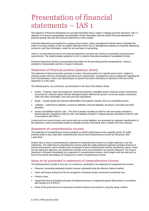### <span id="page-7-0"></span>Presentation of financial statements – IAS 1

The objective of financial statements is to provide information that is useful in making economic decisions. IAS 1's objective is to ensure comparability of presentation of that information with the entity's financial statements of previous periods and with the financial statements of other entities.

Financial statements are prepared on a going concern basis, unless management intends either to liquidate the entity or to cease trading, or has no realistic alternative but to do so. Management prepares its financial statements, except for cash flow information, under the accrual basis of accounting.

There is no prescribed format for the financial statements, but there are minimum presentation and disclosure requirements. The implementation guidance to IAS 1 contains illustrative examples of acceptable formats.

Financial statements disclose corresponding information for the preceding period (comparatives), unless a standard or interpretation permits or requires otherwise.

### **Statement of financial position (balance sheet)**

The statement of financial position presents an entity's financial position at a specific point in time. Subject to meeting certain minimum presentation and disclosure requirements, management uses its judgement regarding the form of presentation, which sub-classifications to present and which information to disclose on the face of the statement or in the notes.

The following items, as a minimum, are presented on the face of the balance sheet:

- Assets Property, plant and equipment; investment property; intangible assets; financial assets; investments accounted for using the equity method; biological assets; deferred tax assets; current tax assets; inventories; trade and other receivables; and cash and cash equivalents.
- Equity Issued capital and reserves attributable to the parent's owners; and non-controlling interest.
- Liabilities Deferred tax liabilities; current tax liabilities; financial liabilities; provisions; and trade and other payables.
- Assets and liabilities held for sale The total of assets classified as held for sale and assets included in disposal groups classified as held for sale; and liabilities included in disposal groups classified as held for sale in accordance with IFRS 5.

Current and non-current assets, and current and non-current liabilities, are presented as separate classifications in the statement, unless presentation based on liquidity provides information that is reliable and more relevant.

### **Statement of comprehensive income**

The statement of comprehensive income presents an entity's performance over a specific period. An entity presents profit or loss, total other comprehensive income and comprehensive income for the period. [IAS 1 para 81A].

Entities have a choice of presenting the statement of comprehensive income in a single statement or as two statements. The statement of comprehensive income under the single-statement approach includes all items of income and expense, and it includes each component of other comprehensive income classified by nature. Under the two-statement approach, all components of profit or loss are presented in an income statement. The income statement is followed immediately by a statement of comprehensive income, which begins with the total profit or loss for the period and displays all components of other comprehensive income.

### **Items to be presented in statement of comprehensive income**

The following items of profit or loss are, as a minimum, presented in the statement of comprehensive income:

- Revenue, presenting separately interest revenue calculated using the effective interest method.
- Gains and losses arising from the de-recognition of financial assets measured at amortised cost.
- Finance costs.
- Impairment losses (including reversals of impairment losses or impairment gains) determined in accordance with Section 5.5 of IFRS 9.
- Share of the profit and loss of associates and joint ventures accounted for using the equity method.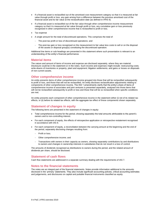- If a financial asset is reclassified out of the amortised cost measurement category so that it is measured at fair value through profit or loss, any gain arising from a difference between the previous amortised cost of the financial asset and its fair value at the reclassification date (as defined in IFRS 9).
- If a financial asset is reclassified out of the fair value through other comprehensive income measurement category so that it is measured at fair value through profit or loss, any cumulative gain or loss previously recognised in other comprehensive income that is reclassified to profit or loss.
- Tax expense
- A single amount for the total of discontinued operations. This comprises the total of:
	- The post-tax profit or loss of discontinued operations; and
	- The post-tax gain or loss recognised on the measurement to fair value less costs to sell or on the disposal of the assets or disposal group(s) constituting the discontinued operation.

Additional line items or sub-headings are presented in this statement where such presentation is relevant to an understanding of the entity's financial performance.

#### **Material items**

The nature and amount of items of income and expense are disclosed separately, where they are material. Disclosure could be in the statement or in the notes. Such income and expenses might include: restructuring costs; write-downs of inventories or property, plant and equipment; litigation settlements; and gains or losses on disposals of non-current assets.

### **Other comprehensive income**

An entity presents items of other comprehensive income grouped into those that will be reclassified subsequently to profit or loss, and those that will not be reclassified. An entity discloses reclassification adjustments relating to components of other comprehensive income. The IAS 1 amendments clarify that the entity's share of items of comprehensive income of associates and joint ventures is presented separately, analysed into those items that will not be reclassified subsequently to profit or loss and those that will be so reclassified when specific conditions are met.

An entity presents each component of other comprehensive income in the statement either (i) net of its related tax effects, or (ii) before its related tax effects, with the aggregate tax effect of these components shown separately.

### **Statement of changes in equity**

The following items are presented in the statement of changes in equity:

- Total comprehensive income for the period, showing separately the total amounts attributable to the parent's owners and to non-controlling interest.
- For each component of equity, the effects of retrospective application or retrospective restatement recognised in accordance with IAS 8.
- For each component of equity, a reconciliation between the carrying amount at the beginning and the end of the period, separately disclosing changes resulting from:
	- Profit or loss;
	- Other comprehensive income; and
	- Transactions with owners in their capacity as owners, showing separately contributions by and distributions to owners and changes in ownership interests in subsidiaries that do not result in a loss of control.

The amounts of dividends recognised as distributions to owners during the period, and the related amount of dividends per share, should be disclosed.

### **Statement of cash flows**

Cash flow statements are addressed in a separate summary dealing with the requirements of IAS 7.

### **Notes to the financial statements**

The notes are an integral part of the financial statements. Notes provide information additional to the amounts disclosed in the 'primary' statements. They also include significant accounting policies, critical accounting estimates and judgements, and disclosures on capital and puttable financial instruments classified as equity.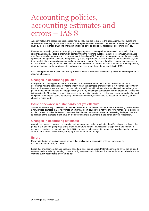### <span id="page-9-0"></span>Accounting policies, accounting estimates and errors – IAS 8

An entity follows the accounting policies required by IFRS that are relevant to the transactions, other events and conditions of the entity. Sometimes standards offer a policy choice; there are other situations where no guidance is given by IFRSs. In these situations, management should develop and apply appropriate accounting policies.

Management uses judgement in developing and applying an accounting policy that results in information that is relevant and reliable. Reliable information demonstrates the following qualities: faithful representation, substance over form, neutrality, prudence and completeness. If there is no IFRS standard or interpretation that is specifically applicable, management considers the applicability of the requirements in IFRS on similar and related issues, and then the definitions, recognition criteria and measurement concepts for assets, liabilities, income and expenses in the Framework. Management can also consider the most recent pronouncements of other standard-setting bodies, other accounting literature and accepted industry practices, where these do not conflict with IFRS.

Accounting policies are applied consistently to similar items, transactions and events (unless a standard permits or requires otherwise).

### **Changes in accounting policies**

Changes in accounting policies made on adoption of a new standard or interpretation are accounted for in accordance with the transitional provisions (if any) within that standard or interpretation. If a change in policy upon initial application of a new standard does not include specific transitional provisions, or it is a voluntary change in policy, it should be accounted for retrospectively (that is, by restating all comparative figures presented) unless this is impracticable. There is also a specific exception for the initial adoption of a policy to measure property, plant and equipment or intangible assets by applying the revaluation model, which would be accounted for in the year the change is being made.

### **Issue of new/revised standards not yet effective**

Standards are normally published in advance of the required implementation date. In the intervening period, where a new/revised standard that is relevant to an entity has been issued but is not yet effective, management discloses this fact. It also provides the known or reasonably estimable information relevant to assessing the impact that the application of the standard might have on the entity's financial statements in the period of initial recognition.

### **Changes in accounting estimates**

An entity recognises changes in accounting estimates prospectively, by including the effects in profit or loss in the period that is affected (the period of the change and future periods, if applicable), except where the change in estimate gives rise to changes in assets, liabilities or equity. In this case, it is recognised by adjusting the carrying amount of the related asset, liability or equity in the period of the change.

#### **Errors**

Errors might arise from mistakes (mathematical or application of accounting policies), oversights or misinterpretation of facts, and fraud.

Errors that are discovered in a subsequent period are prior-period errors. Material prior-period errors are adjusted retrospectively (that is, by restating comparative figures) unless this is impracticable (that is, it cannot be done, after **'making every reasonable effort to do so'**).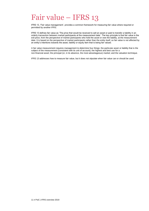## <span id="page-10-0"></span>Fair value – IFRS 13

IFRS 13, 'Fair value management', provides a common framework for measuring fair value where required or permitted by another IFRS.

IFRS 13 defines fair value as 'The price that would be received to sell an asset or paid to transfer a liability in an orderly transaction between market participants at the measurement date'. The key principle is that fair value is the exit price, from the perspective of market participants who hold the asset or owe the liability, at the measurement date. It is based on the perspective of market participants rather than the entity itself, so fair value is not affected by an entity's intentions towards the asset, liability or equity item that is being fair valued.

A fair value measurement requires management to determine four things: the particular asset or liability that is the subject of the measurement (consistent with its unit of account); the highest and best use for a non-financial asset; the principal (or, in its absence, the most advantageous) market; and the valuation technique.

IFRS 13 addresses how to measure fair value, but it does not stipulate when fair value can or should be used.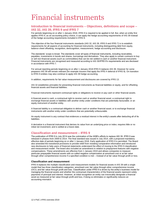## <span id="page-11-0"></span>Financial instruments

### **Introduction to financial instruments – Objectives, definitions and scope – IAS 32, IAS 39, IFRS 9 and IFRS 7**

For periods beginning on or after 1 January 2018, IFRS 9 is required to be applied in full. But, when an entity first applies IFRS 9, as an accounting policy choice, it can apply the hedge accounting requirements of IAS 39 instead of the hedge accounting requirements included in IFRS 9.

The objective of the four financial instruments standards (IAS 32, IAS 39, IFRS 9 and IFRS 7) is to establish requirements for all aspects of accounting for financial instruments, including distinguishing debt from equity, balance sheet offsetting, recognition, derecognition, measurement, hedge accounting and disclosure.

The standards' scope is broad. The standards cover all types of financial instruments, including receivables, payables, investments in bonds and shares, borrowings and derivatives. They also apply to certain contracts to buy or sell non-financial assets (such as commodities) that can be net-settled in cash or another financial instrument. Financial instruments are recognised and measured according to IAS 39/IFRS 9's requirements and are disclosed in accordance with IFRS 7.

For annual reporting periods beginning on or after 1 January 2018 IFRS 9 replaces IAS 39. However for some preparers IAS 39 will remain relevant (for example insurers that apply the IFRS 4 deferral of IFRS 9). On transition to IFRS 9 entities may also continue to apply IAS 39 hedge accounting.

In addition, requirements for fair value measurement and disclosures are covered by IFRS 13.

IAS 32 establishes principles for presenting financial instruments as financial liabilities or equity, and for offsetting financial assets and financial liabilities.

Financial instruments represent contractual rights or obligations to receive or pay cash or other financial assets.

A financial asset is cash; a contractual right to receive cash or another financial asset; a contractual right to exchange financial assets or liabilities with another entity under conditions that are potentially favourable; or an equity instrument of another entity.

A financial liability is a contractual obligation to deliver cash or another financial asset; or to exchange financial instruments with another entity under conditions that are potentially unfavourable.

An equity instrument is any contract that evidences a residual interest in the entity's assets after deducting all of its liabilities.

A derivative is a financial instrument that derives its value from an underlying price or index; requires little or no initial net investment; and is settled at a future date.

### **Classification and measurement – IFRS 9**

The publication of IFRS 9 in July 2014 was the culmination of the IASB's efforts to replace IAS 39. IFRS 9 was released in phases from 2009 to 2014. The final standard was issued in July 2014, with a proposed mandatory effective date of periods beginning on or after 1 January 2018. Early application of IFRS 9 is permitted. The Board also amended the transitional provisions to provide relief from restating comparative information and introduced new disclosures to help users of financial statements understand the effect of moving to the IFRS 9 classification and measurement model. The board also included an amendment in relation to prepayment features with negative compensations. These amendments are effective from 1 January 2019 and allows companies to measure particular prepayable financial assets with so-called negative compensation at amortised cost or at fair value through other comprehensive income if a specified condition is met – Instead of at fair value through profit or loss.

#### **Classification and measurement**

IFRS 9 replaces the multiple classification and measurement models for financial assets in IAS 39 with a single model that has three classification categories: amortised cost; fair value through other comprehensive income (OCI); and fair value through profit and loss. Classification under IFRS 9 is driven by the entity's business model for managing the financial assets and whether the contractual characteristics of the financial assets represent solely payments of principal and interest. However, at initial recognition an entity can irrevocably designate a financial asset as measured at fair value through profit and loss, if doing so eliminates or significantly reduces an accounting mismatch.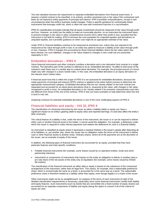The new standard removes the requirement to separate embedded derivatives from financial asset hosts. It requires a hybrid contract to be classified, in its entirety, at either amortised cost or fair value if the contractual cash flows do not represent solely payments of principal and interest. IFRS 9 prohibits reclassifications, except in rare circumstances when the entity's business model changes. There is specific guidance for contractually linked instruments that leverage credit risk, which is often the case with investment tranches in a securitisation.

IFRS 9's classification principles indicate that all equity investments should be measured at fair value through profit and loss. However, an entity has the ability to make an irrevocable election, on an instrument-by-instrument basis, to present changes in fair value in other comprehensive income (OCI) rather than profit or loss, provided that the instrument is not held for trading. IFRS 9 removes the cost exemption for unquoted equities and derivatives on unquoted equities, but it provides guidance on when cost might be an appropriate estimate of fair value.

Under IFRS 9, financial liabilities continue to be measured at amortised cost, unless they are required to be measured at fair value through profit or loss or an entity has opted to measure a liability at fair value through profit or loss. However, IFRS 9 changes the accounting for those financial liabilities where the fair value option has been elected. For such liabilities, changes in fair value related to changes in own credit risk are presented separately in OCI.

### **Embedded derivatives – IFRS 9**

Some financial instruments and other contracts combine a derivative and a non-derivative host contract in a single contract. The derivative part of the contract is referred to as an 'embedded derivative'. Its effect is that some of the contract's cash flows vary in a similar way to a stand-alone derivative. For example, the principal amount of a bond might vary with changes in a stock market index. In this case, the embedded derivative is an equity derivative on the relevant stock market index.

A financial asset host that is within the scope of IFRS 9 is not assessed for embedded derivatives, because the solely payments of principal and interest (SPPI) criterion is applied to the entire hybrid contract to determine the appropriate measurement category. Embedded derivatives that are not 'closely related' to the host contract are separated and accounted for as stand-alone derivatives (that is, measured at fair value, with changes in fair value recognised in profit or loss). An embedded derivative is not 'closely related' if its economic characteristics and risks are different from those of the rest of the contract. IFRS 9 sets out many examples to help determine when this test is (and is not) met.

Analysing contracts for potential embedded derivatives is one of the more challenging aspects of IFRS 9.

### <span id="page-12-0"></span>**Financial liabilities and equity – IAS 32, IFRS 9**

The classification of a financial instrument by the issuer as either a liability (debt) or equity can have a significant impact on an entity's gearing (debt-to-equity ratio) and reported earnings. It could also affect the entity's debt covenants.

The critical feature of a liability is that, under the terms of the instrument, the issuer is or can be required to deliver either cash or another financial asset to the holder; it cannot avoid this obligation. For example, a debenture under which the issuer is required to make interest payments and redeem the debenture for cash is a financial liability.

An instrument is classified as equity where it represents a residual interest in the issuer's assets after deducting all of its liabilities; or, put another way, where the issuer has no obligation under the terms of the instrument to deliver cash or other financial assets to another entity. Ordinary shares, where all of the payments are at the discretion of the issuer, are an example of equity of the issuer.

In addition, the following types of financial instrument are accounted for as equity, provided that they have particular features and meet specific conditions:

- Puttable financial instruments (for example, some shares issued by co-operative entities, funds and some partnership interests).
- Instruments or components of instruments that impose on the entity an obligation to deliver to another party a pro rata share of the net assets of the entity only on liquidation (for example, some shares issued by limitedlife entities).

The classification of the financial instrument as either debt or equity is based on the substance of the contractual arrangement of the instrument, rather than its legal form. This means, for example, that a redeemable preference share, which is economically the same as a bond, is accounted for in the same way as a bond. The redeemable preference share is therefore treated as a liability rather than equity, even though legally it is a share of the issuer.

Other instruments might not be as straightforward. An analysis of the terms of each instrument (in light of the detailed classification requirements) is necessary, particularly since some financial instruments contain both liability and equity features. Such instruments (such as bonds that are convertible into a fixed number of equity shares) are accounted for as separate components of liability and equity (being the option to convert if all of the criteria for equity are met).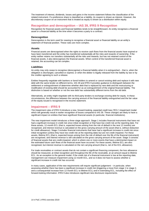The treatment of interest, dividends, losses and gains in the income statement follows the classification of the related instrument. If a preference share is classified as a liability, its coupon is shown as interest. However, the discretionary coupon on an instrument that is treated as equity is shown as a distribution within equity.

### <span id="page-13-0"></span>**Recognition and derecognition – IAS 39, IFRS 9 Recognition**

Recognition for financial assets and financial liabilities tends to be straightforward. An entity recognises a financial asset or a financial liability at the time when it becomes a party to a contract.

#### **Derecognition**

Derecognition is the term used for ceasing to recognise a financial asset or financial liability on an entity's statement of financial position. These rules are more complex.

#### **Assets**

Financial assets are derecognised when the rights to receive cash flows from the financial assets have expired or have been transferred and the entity has transferred substantially all the risks and rewards of ownership. If the entity neither retains nor transfers substantially all the risks and rewards, but has not retained control of the financial assets, it also derecognises the financial assets. When control of the transferred financial asset is retained, the accounting can be complex.

#### **Liabilities**

An entity may only cease to recognise (derecognise) a financial liability when it is extinguished – that is, when the obligation is discharged, cancelled or expired, or when the debtor is legally released from the liability by law or by the creditor agreeing to such a release.

Entities frequently negotiate with bankers or bond-holders to amend or cancel existing debt and replace it with new debt with the same lender on different terms. IAS 39 and IFRS 9 provides guidance to distinguish between the settlement or extinguishment of determine whether debt that is replaced by new debt and the restructuring or modification of existing debt should be accounted for as an extinguishment of the original financial liability. The distinction is based on whether or not the new debt has substantially different terms from the old debt.

Alternatively, an entity might negotiate with its third party lenders to exchange existing debt for equity. In these circumstances, the difference between the carrying amount of the financial liability extinguished and the fair value of the equity issued is recognised in the income statement.

### **Impairment – IFRS 9**

The impairment rules of IFRS 9 introduce a new, forward-looking, expected credit loss ('ECL') impairment model which will generally result in earlier recognition of losses compared to IAS 39. These changes are likely to have a significant impact on entities that have significant financial assets (in particular, financial institutions).

The new impairment model introduces a three-stage approach. Stage 1 includes financial instruments that have not had a significant increase in credit risk since initial recognition or that have low credit risk at the reporting date. For these assets, 12-month ECL (that is, expected losses arising from the risk of default in the next 12 months) are recognised, and interest revenue is calculated on the gross carrying amount of the asset (that is, without deduction for credit allowance). Stage 2 includes financial instruments that have had a significant increase in credit risk since initial recognition (unless they have low credit risk at the reporting date) but are not credit-impaired. For these assets, lifetime ECL (that is, expected losses arising from the risk of default over the life of the financial instrument) are recognised, and interest revenue is still calculated on the gross carrying amount of the asset. Stage 3 consists of financial assets that are credit-impaired, which is where one or more events that have a detrimental impact on the estimated future cash flows of the financial asset have occurred. For these assets, lifetime ECL are also recognised, but interest revenue is calculated on the net carrying amount (that is, net of the ECL allowance).

For trade receivables or contract assets that do not contain a significant financing component, the loss allowance should be measured, at initial recognition and throughout the life of the receivable, at an amount equal to lifetime ECL. As an exception to the general model, if the credit risk of a financial instrument is low at the reporting date, management can measure impairment using 12-month ECL, and so it does not have to assess whether a significant increase in credit risk has occurred.

In many cases, application of the new requirements will require significant judgement – in particular, when assessing whether there has been a significant increase in credit risk (triggering a move from stage 1 to stage 2, and a consequential increase from 12-month ECL to lifetime ECL) and in estimating ECL, including the effect of forward-looking information. IFRS 9 also introduces significant new disclosure requirements.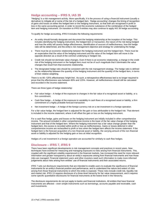### **Hedge accounting – IFRS 9, IAS 39**

'Hedging' is a risk management activity. More specifically, it is the process of using a financial instrument (usually a derivative) to mitigate all or some of the risk of a hedged item. 'Hedge accounting' changes the timing of recognition of gains and losses on either the hedged item or the hedging instrument, so that both are recognised in profit or loss in the same accounting period, in order to record the economic substance of the combination of the hedged item and hedging instrument. On transition to IFRS 9 entities may also continue to apply IAS 39 hedge accounting.

To qualify for hedge accounting, IFRS 9 includes the following requirements:

- An entity should formally designate and document the hedging relationship at the inception of the hedge. This includes identifying the hedging instrument, the hedged item or transaction, the nature of the risk being hedged and how the entity will assess hedge effectiveness, identification of sources of ineffectiveness, how the hedge ratio will be determined, and the entity's risk management objective and strategy for undertaking the hedge.
- There must be an economic relationship between the hedging instrument and the hedged item. There must be an expectation that the value of the hedging instrument and the value of the hedged item will move in the opposite direction as a result of the common underlying or hedged risk.
- Credit risk should not dominate value changes. Even if there is an economic relationship, a change in the credit risk of the hedging instrument or the hedged item must not be of such magnitude that it dominates the value changes that result from that economic relationship.
- The designated hedge ratio should be consistent with the risk management strategy. The hedge ratio is defined as the relationship between the quantity of the hedging instrument and the quantity of the hedged item, in terms of their relative weighting.

There is no 80–125% effectiveness 'bright line'. As such, a retrospective effectiveness test is no longer required to prove that the effectiveness was between 80% and 125%. However, all ineffectiveness should still be calculated and recorded in the income statement.

There are three types of hedge relationship:

- Fair value hedge A hedge of the exposure to changes in the fair value of a recognised asset or liability, or a firm commitment.
- Cash flow hedge A hedge of the exposure to variability in cash flows of a recognised asset or liability, a firm commitment or a highly probable forecast transaction.
- Net investment hedge A hedge of the foreign currency risk on a net investment in a foreign operation.

For a fair value hedge, the hedged item is adjusted for the gain or loss attributable to the hedged risk. That element is included in the income statement, where it will offset the gain or loss on the hedging instrument.

For a cash flow hedge, gains and losses on the hedging instrument are initially included in other comprehensive income. The amount included in other comprehensive income is the lower of the fair value change of the hedging instrument and that of the hedged item. Where the hedging instrument has a fair value change greater than the hedged item, the excess is recorded within profit or loss as ineffectiveness. Gains or losses deferred in other comprehensive income are reclassified to profit or loss when the hedged item affects the income statement. If the hedged item is the forecast acquisition of a non-financial asset or liability, the carrying amount of the non-financial asset or liability is adjusted for the hedging gain or loss at initial recognition.

Hedges of a net investment in a foreign operation are accounted for similarly to cash flow hedges.

#### <span id="page-14-0"></span>**Disclosure – IFRS 7, IFRS 9**

There have been significant developments in risk management concepts and practices in recent years. New techniques have evolved for measuring and managing exposures to risks arising from financial instruments. This, coupled with the significant volatility experienced in the financial markets, has increased the need for more relevant information and greater transparency about an entity's exposures arising from financial instruments and how those risks are managed. Financial statement users and other investors need such information to make more informed judgements about risks arising from entities' use of financial instruments and their associated returns.

IFRS 7 sets out disclosure requirements that are intended to enable users to evaluate the significance of financial instruments for an entity's financial position and performance, and to understand the nature and extent of risks arising from those financial instruments to which the entity is exposed. These risks include credit risk, liquidity risk and market risk. IFRS 13 requires disclosure of a three-level hierarchy for fair value measurement, and it requires some specific quantitative disclosures for financial instruments at the lowest level in the hierarchy.

The disclosure requirements do not just apply to banks and financial institutions. All entities that have financial instruments are affected – even simple instruments such as borrowings, accounts payable and receivable, cash and investments.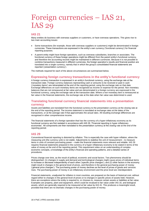## <span id="page-15-0"></span>Foreign currencies – IAS 21, IAS 29

### **IAS 21**

Many entities do business with overseas suppliers or customers, or have overseas operations. This gives rise to two main accounting issues:

- Some transactions (for example, those with overseas suppliers or customers) might be denominated in foreign currencies. These transactions are expressed in the entity's own currency ('functional currency') for financial reporting purposes.
- A parent entity might have foreign operations, such as overseas subsidiaries, branches or associates. The functional currency of these foreign operations might be different from the parent entity's functional currency, and therefore the accounting records might be maintained in different currencies. Because it is not possible to combine transactions measured in different currencies, the foreign operation's results and financial position are translated into a single currency, namely that in which the group's consolidated financial statements are reported ('presentation currency').

The methods required for each of the above circumstances are summarised below.

### **Expressing foreign currency transactions in the entity's functional currency**

A foreign currency transaction is expressed in an entity's functional currency, using the exchange rate at the transaction date. Foreign currency balances representing cash or amounts to be received or paid in cash ('monetary items') are retranslated at the end of the reporting period, using the exchange rate on that date. Exchange differences on such monetary items are recognised as income or expense for the period. Non-monetary balances that are not remeasured at fair value and are denominated in a foreign currency are expressed in the functional currency, using the exchange rate at the transaction date. Where a non-monetary item is remeasured at fair value in the financial statements, the exchange rate at the date when fair value was determined is used.

### **Translating functional currency financial statements into a presentation currency**

Assets and liabilities are translated from the functional currency to the presentation currency at the closing rate at the end of the reporting period. The income statement is translated at exchange rates at the dates of the transactions, or at the average rate if that approximates the actual rates. All resulting exchange differences are recognised in other comprehensive income.

The financial statements of a foreign operation that has the currency of a hyper-inflationary economy as its functional currency are first restated in accordance with IAS 29, 'Financial reporting in hyper-inflationary economies'. All components are then translated to the presentation currency at the closing rate at the end of the reporting period.

### **IAS 29**

Conventional financial reporting is distorted by inflation. This is especially the case with hyper-inflation, where the measuring unit (the currency unit) is not stable. Adjustments to stabilise the unit of measurement – to measure items in units of constant purchasing power – make the financial statements more relevant and reliable. IAS 29 requires financial statements prepared in the currency of a hyper-inflationary economy to be stated in terms of the value of money at the end of the reporting period. This requirement relies on an understanding of complex economic concepts, a knowledge of the entity's financial and operating patterns, and a detailed series of procedures.

Prices change over time, as the result of political, economic and social factors. Two phenomena should be distinguished: (1) changes in supply and demand and technological changes might cause prices of individual items to increase or decrease independently of each other ('specific price changes'); and (2) other factors in the economy might result in changes in the general level of prices, and therefore in the general purchasing power of money ('general price changes'). The purchasing power of money declines as the level of prices of goods and services rises. The purchasing power of money in an inflationary environment and the price level are interdependent.

Financial statements, unadjusted for inflation in most countries, are prepared on the basis of historical cost, without regard either to changes in the general level of prices or to changes in specific prices of assets held. However, there are exceptions where the entity is required to, or chooses to, measure certain assets or liabilities at fair value. Examples are property, plant and equipment, which could be revalued to fair value under IAS 16, and biological assets, which are generally required to be measured at fair value by IAS 41. This produces a meaningful result, provided that there are no dramatic changes in the purchasing power of money.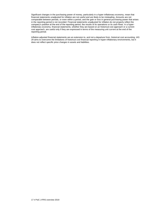Significant changes in the purchasing power of money, particularly in a hyper-inflationary economy, mean that financial statements unadjusted for inflation are not useful and are likely to be misleading. Amounts are not comparable between periods, or even within a period, and the gain or loss in general purchasing power that arises in the reporting period is not recorded. Financial statements unadjusted for inflation do not properly reflect the company's position at the end of the reporting period, the results of its operations or its cash flows. In a hyperinflationary economy, financial statements, whether they are based on an historical cost approach or a current cost approach, are useful only if they are expressed in terms of the measuring unit current at the end of the reporting period.

Inflation-adjusted financial statements are an extension to, and not a departure from, historical cost accounting. IAS 29 aims to overcome the limitations of historical cost financial reporting in hyper-inflationary environments, but it does not reflect specific price changes in assets and liabilities.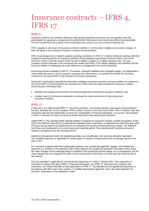### <span id="page-17-0"></span>Insurance contracts – IFRS 4, IFRS 17

### **IFRS 4**

Insurance contracts are contracts where an entity accepts significant insurance risk from another party (the policyholder) by agreeing to compensate the policyholder if the insured event adversely affects the policyholder. The risk transferred in the contract must be insurance risk, which is any risk except for financial risk.

IFRS 4 applies to all issuers of insurance contracts, whether or not the entity is legally an insurance company. It does not apply to accounting for insurance contracts by policyholders.

IFRS 4 was designed as an interim standard, pending completion of IFRS 17. It allows entities to continue with their existing accounting policies for insurance contracts if those policies meet certain minimum criteria. One of the minimum criteria is that the amount of the insurance liability is subject to a liability adequacy test. This test considers current estimates of all contractual and related cash flows. If the liability adequacy test identifies that the insurance liability is inadequate, the entire deficiency is recognised in the income statement.

Accounting policies modelled on IAS 37, 'Provisions, contingent liabilities and contingent assets', are appropriate in cases where the issuer is not an insurance company and where there is no specific local GAAP for insurance contracts (or the local GAAP is only directed at insurance companies).

Disclosure is particularly important for information relating to insurance contracts, because entities can continue to use local GAAP accounting policies for measurement. IFRS 4 has two main principles for disclosure. Entities should disclose information that:

- Identifies and explains the amounts in its financial statements arising from insurance contracts; and
- Enables users of its financial statements to evaluate the nature and extent of risks arising from insurance contracts.

#### **IFRS 17**

In May 2017, the IASB issued IFRS 17, 'Insurance contracts', and thereby started a new epoch of accounting for insurers. Whereas the current standard, IFRS 4, allows insurers to use their local GAAP, IFRS 17 defines clear and consistent rules that will significantly increase the comparability of financial statements. For insurers, the transition to IFRS 17 will have an impact on financial statements and on key performance indicators.

Under IFRS 17, the 'general model' requires entities to measure an insurance contract, at initial recognition, at the total of the fulfilment cash flows (comprising the estimated future cash flows, an adjustment to reflect the time value of money and an explicit risk adjustment for non-financial risk) and the contractual service margin. The fulfilment cash flows are remeasured on a current basis each reporting period. The unearned profit (contractual service margin) is recognised over the coverage period.

Aside from this general model, the standard provides, as a simplification, the 'premium allocation approach'. This simplified approach is applicable for certain types of contract, including those with a coverage period of one year or less.

For insurance contracts with direct participation features, the 'variable fee approach' applies. The variable fee approach is a variation on the general model. When applying the variable fee approach, the entity's share of the fair value changes of the underlying items is included in the contractual service margin. As a consequence, the fair value changes are not recognised in profit or loss in the period in which they occur but over the remaining life of the contract.

The new standard is applicable for annual periods beginning on or after 1 January 2021. Early application is permitted for entities that apply IFRS 9, 'Financial instruments', and IFRS 15, 'Revenue from contracts with customers', at or before the date of initial application of IFRS 17. The standard can be applied retrospectively in accordance with IAS 8, but it also contains a 'modified retrospective approach' and a 'fair value approach' for transition, depending on the availability of data.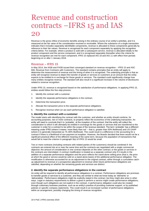### <span id="page-18-0"></span>Revenue and construction contracts –IFRS 15 and IAS 20

Revenue is the gross inflow of economic benefits arising in the ordinary course of an entity's activities, and it is measured at the fair value of the consideration received or receivable. Where the substance of a single transaction indicates that it includes separately identifiable components, revenue is allocated to these components generally by reference to their fair values. Revenue is recognised for each component separately by applying the recognition criteria below. For example, where a product is sold with a subsequent service, revenue is allocated initially to the product component and the service component, and it is recognised separately thereafter when the criteria for revenue recognition are met for each component. IFRS 15 replaced IAS 18 and IAS 11 with effect from periods beginning on or after 1 January 2018.

### **Revenue – IFRS 15**

In May 2014, the IASB and FASB issued their converged standard on revenue recognition – IFRS 15 and ASC 606, Revenue from Contracts with Customers. The standard contains principles that an entity will apply to determine the measurement of revenue and the timing of when it is recognised. The underlying principle is that an entity will recognise revenue to depict the transfer of goods or services to customers at an amount that the entity expects to be entitled to in exchange for those goods or services. The standard could significantly change how many entities recognise revenue. The standard will also result in a significant increase in the volume of disclosures related to revenue recognition.

Under IFRS 15, revenue is recognised based on the satisfaction of performance obligations. In applying IFRS 15, entities would follow this five-step process:

- 1. Identify the contract with a customer.
- 2. Identify the separate performance obligations in the contract.
- 3. Determine the transaction price.
- 4. Allocate the transaction price to the separate performance obligations.
- 5. Recognise revenue when (or as) each performance obligation is satisfied.

#### **1. Identify the contract with a customer**

The model starts with identifying the contract with the customer, and whether an entity should combine, for accounting purposes, two or more contracts, to properly reflect the economics of the underlying transaction. An entity will need to conclude that it is 'probable', at the inception of the contract, that the entity will collect the consideration to which it will ultimately be entitled in exchange for the goods or services that are transferred to the customer in order for a contract to be within the scope of the revenue standard. The term 'probable' has a different meaning under IFRS (where it means 'more likely than not' – that is, greater than 50% likelihood) and US GAAP (where it is generally interpreted as 75–80% likelihood). This could result in a difference in the accounting for a contract if there is a likelihood of non-payment at inception. However, the Boards decided that there would not be a significant practical effect of the different meaning of the same term, because the population of transactions that would fail to meet the criterion in paragraph 9(e) of IFRS 15 would be small.

Two or more contracts (including contracts with related parties of the customers) should be combined if: the contracts are entered into at or near the same time and the contracts are negotiated with a single commercial objective; the amount of consideration in one contract depends on the other contract; or the goods or services in the contracts are interrelated. A contract modification is treated as a separate contract only if it results in the addition of a separate performance obligation and the price reflects the stand-alone selling price (that is, the price at which the good or service would be sold on a stand-alone basis) of the additional performance obligation. The modification is otherwise accounted for as an adjustment to the original contract, either through a cumulative catchup adjustment to revenue or a prospective adjustment to revenue when future performance obligations are satisfied, depending on whether the remaining goods and services are distinct.

#### **2. Identify the separate performance obligations in the contract**

An entity will be required to identify all performance obligations in a contract. Performance obligations are promises to transfer goods or services to a customer, and they are similar to what we know today as 'elements' or 'deliverables'. Performance obligations might be explicitly stated in the contract, but they might also arise in other ways. Legal or statutory requirements to deliver a good or perform a service might create performance obligations, even though such obligations are not explicit in the contract. A performance obligation could also be created through customary business practices, such as an entity's practice of providing customer support, or by published policies or specific company statements. This could result in an increased number of performance obligations within an arrangement, possibly changing the timing of revenue recognition.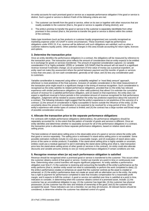An entity accounts for each promised good or service as a separate performance obligation if the good or service is distinct. Such a good or service is distinct if both of the following criteria are met:

- 1. The customer can benefit from the good or service, either on its own or together with other resources that are readily available to the customer (that is, the good or service is capable of being distinct); and
- 2. The entity's promise to transfer the good or service to the customer is separately identifiable from other promises in the contract (that is, the promise to transfer the good or service is distinct within the context of the contract).

Sales-type incentives (such as free products or customer loyalty programmes) are currently recognised as marketing expense under US GAAP in some circumstances. These incentives might be performance obligations under IFRS 15; if so, revenue will be deferred until such obligations are satisfied, such as when a customer redeems loyalty points. Other potential changes in this area include accounting for return rights, licences and options.

#### **3. Determine the transaction price**

Once an entity identifies the performance obligations in a contract, the obligations will be measured by reference to the transaction price. The transaction price reflects the amount of consideration that an entity expects to be entitled to in exchange for goods or services transferred. The amount of expected consideration captures: (1) variable consideration if it is 'highly probable' (IFRS) or 'probable' (US GAAP) that the amount will not result in a significant revenue reversal if estimates change; (2) an assessment of time value of money (as a practical expedient, an entity need not make this assessment where the period between payment and the transfer of goods or services is less than one year); (3) non-cash consideration, generally at fair value; and (4) less any consideration paid to customers.

Variable consideration is measured using either a 'probability weighted' or 'most likely amount' approach, whichever is most predictive of the final outcome. Inclusion of variable consideration in the initial measurement of the transaction price might result in a significant change in the timing of revenue recognition. Such consideration is recognised as the entity satisfies its related performance obligations, provided that (1) the entity has relevant experience with similar performance obligations (or other valid evidence) that allows it to estimate the cumulative amount of revenue for a satisfied performance obligation, and (2) based on that experience, the entity does not expect a significant reversal in future periods in the cumulative amount of revenue recognised for that performance obligation. Judgement will be needed to assess whether the entity has predictive experience about the outcome of a contract. The following indicators might suggest that the entity's experience is not predictive of the outcome of a contract: (1) the amount of consideration is highly susceptible to factors outside the influence of the entity; (2) the uncertainty about the amount of consideration is not expected to be resolved for a long period of time; (3) the entity's experience with similar types of contract is limited; and (4) the contract has a large number and broad range of possible consideration amounts.

#### **4. Allocate the transaction price to the separate performance obligations**

For contracts with multiple performance obligations (deliverables), the performance obligations should be separately accounted for, to the extent that the pattern of transfer of goods and services is different. Once an entity identifies and determines whether to separately account for all of the performance obligations in a contract, the transaction price is allocated to these separate performance obligations, based on relative stand-alone selling prices.

The best evidence of stand-alone selling price is the observable price of a good or service where the entity sells that good or service separately. The selling price is estimated if a stand-alone selling price is not available. Some possible estimation methods include (1) cost plus a reasonable margin, and (2) evaluation of stand-alone sales prices of the same or similar products, if available. If the stand-alone selling price is highly variable or uncertain, entities could use a residual approach to aid in estimating the stand-alone selling price (that is, total transaction price less the stand-alone selling prices of other goods or services in the contract). An entity could also allocate discounts and variable amounts entirely to one (or more) performance obligations if certain conditions are met.

#### **5. Recognise revenue when (or as) each performance obligation is satisfied**

Revenue should be recognised when a promised good or service is transferred to the customer. This occurs when the customer obtains control of that good or service. Control can transfer at a point in time or continuously over time. Determining when control transfers will require significant judgement. An entity satisfies a performance obligation over time if: (1) the customer is receiving and consuming the benefits of the entity's performance as the entity performs (that is, another entity would not need to substantially re-perform the work completed to date); (2) the entity's performance creates or enhances an asset that the customer controls as the asset is created or enhanced; or (3) the entity's performance does not create an asset with an alternative use to the entity, the entity has a right to payment for performance completed to date that includes compensation for a reasonable profit margin, and it expects to fulfil the contract. A good or service not satisfied over time is satisfied at a point in time. Indicators to consider, in determining when the customer obtains control of a promised asset, include: (1) the customer has an unconditional obligation to pay; (2) the customer has legal title; (3) the customer has physical possession; (4) the customer has the risks and rewards of ownership of the good; and (5) the customer has accepted the asset. These indicators are not a checklist, nor are they all-inclusive. All relevant factors should be considered, to determine whether the customer has obtained control of a good.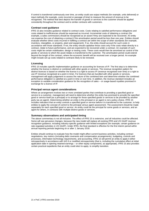If control is transferred continuously over time, an entity could use output methods (for example, units delivered) or input methods (for example, costs incurred or passage of time) to measure the amount of revenue to be recognised. The method that best depicts the transfer of goods or services to the customer should be applied consistently throughout the contract and to similar contracts with customers.

#### **Contract cost guidance**

IFRS 15 also includes guidance related to contract costs. Costs relating to satisfied performance obligations and costs related to inefficiencies should be expensed as incurred. Incremental costs of obtaining a contract (for example, a sales commission) should be recognised as an asset if they are expected to be recovered. An entity can expense the cost of obtaining a contract if the amortisation period would be less than one year. Entities should evaluate whether direct costs incurred in fulfilling a contract are within the scope of other standards (for example, inventory, intangibles, or property, plant and equipment). If so, the entity should account for such costs in accordance with those standards. If not, the entity should capitalise those costs only if the costs relate directly to a contract, relate to future performance, and are expected to be recovered under a contract. An example of such costs might be certain mobilisation, design or testing costs. These costs would then be amortised as control of the goods or services to which the asset relates is transferred to the customer. The amortisation period could extend beyond the length of the contract, where the economic benefit will be received over a longer period. An example might include set-up costs related to contracts likely to be renewed.

#### **Licensing**

IFRS 15 includes specific implementation guidance on accounting for licences of IP. The first step is to determine whether the licence is distinct or combined with other goods or services. The revenue recognition pattern for distinct licences is based on whether the licence is a right to access IP (revenue recognised over time) or a right to use IP (revenue recognised at a point in time). For licences that are bundled with other goods or services, management will apply judgement to assess the nature of the combined item and determine whether the combined performance obligation is satisfied at a point in time or over time. In addition, the revenue standard includes an exception to variable consideration guidance for the recognition of sales – or usage-based royalties promised in exchange for a licence of IP.

#### **Principal versus agent considerations**

Where an arrangement involves two or more unrelated parties that contribute to providing a specified good or service to a customer, management will need to determine whether the entity has promised to provide the specified good or service itself (as a principal) or to arrange for those specified goods or services to be provided by another party (as an agent). Determining whether an entity is the principal or an agent is not a policy choice. IFRS 15 includes indicators that an entity controls a specified good or service before it is transferred to the customer, to help entities to apply the concept of control to the principal versus agent assessment. The assessment should be made separately for each specified good or service. An entity could be the principal for some goods or services, and an agent for others, in contracts with multiple distinct goods or services.

#### <span id="page-20-0"></span>**Summary observations and anticipated timing**

The above commentary is not all-inclusive. The effect of IFRS 15 is extensive, and all industries could be affected. Some will see pervasive changes, because the new model will replace all existing IFRS and US GAAP revenue recognition guidance, including industry-specific guidance with limited exceptions (for example, certain guidance on rate-regulated activities in US GAAP). Under IFRS, the final standard is effective for the first interim period within annual reporting periods beginning on or after 1 January 2018.

Entities should continue to evaluate how the model might affect current business activities, including contract negotiations, key metrics (including debt covenants and compensation arrangements), budgeting, controls and processes, information technology requirements, and accounting. IFRS 15 will permit an entity to apply it either retrospectively in accordance with IAS 8 or modified retrospectively (that is, including the cumulative effect at initial application date in opening retained earnings – or other equity components, as appropriate). IFRS 15 also provides certain practical expedients that an entity could elect to apply, to simplify transition.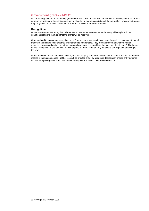### **Government grants – IAS 20**

Government grants are assistance by government in the form of transfers of resources to an entity in return for past or future compliance with certain conditions relating to the operating activities of the entity. Such government grants may be given to an entity to help finance a particular asset or other expenditure.

#### **Recognition**

Government grants are recognised when there is reasonable assurance that the entity will comply with the conditions related to them and that the grants will be received.

Grants related to income are recognised in profit or loss on a systematic basis over the periods necessary to match them with the related costs that they are intended to compensate. They are either offset against the related expense or presented as income, either separately or under a general heading such as 'other income'. The timing of such recognition in profit or loss will also depend on the fulfilment of any conditions or obligations attaching to the grant.

Grants related to assets are either offset against the carrying amount of the relevant asset or presented as deferred income in the balance sheet. Profit or loss will be affected either by a reduced depreciation charge or by deferred income being recognised as income systematically over the useful life of the related asset.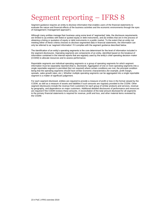# <span id="page-22-0"></span>Segment reporting – IFRS 8

Segment guidance requires an entity to disclose information that enables users of the financial statements to evaluate the nature and financial effects of the business activities and the economic environments through the eyes of management ('management approach').

Although many entities manage their business using some level of 'segmented' data, the disclosure requirements are limited to (a) entities with listed or quoted equity or debt instruments, and (b) entities that are in the process of obtaining a listing or quotation of equity or debt instruments in a public market. To the extent that an entity not meeting either of these criteria chooses to disclose segmented data in financial statements, the information can only be referred to as 'segment information' if it complies with the segment guidance described below.

The identification of an entity's operating segments is the core determinant for the level of information included in the segment disclosures. Operating segments are components of an entity, identified based on the breakout of information contained in the internal reports that are regularly used by the entity's chief operating decision-maker (CODM) to allocate resources and to assess performance.

Reportable segments are individual operating segments or a group of operating segments for which segment information must be separately reported (that is, disclosed). Aggregation of one or more operating segments into a single reportable segment is permitted (but not required) where certain conditions are met, the principal condition being that the operating segments should have similar economic characteristics (for example, profit margin, spreads, sales growth rates, etc.). Whether multiple operating segments can be aggregated into a single reportable segment is a matter of significant judgement.

For each segment disclosed, entities are required to provide a measure of profit or loss in the format viewed by the CODM, as well as a measure of assets and liabilities if such amounts are regularly provided to the CODM. Other segment disclosures include the revenue from customers for each group of similar products and services, revenue by geography, and dependence on major customers. Additional detailed disclosures of performance and resources are required if the CODM reviews these amounts. A reconciliation of the total amount disclosed for all segments to the primary financial statements is required for revenue, profit and loss, and other material items reviewed by the CODM.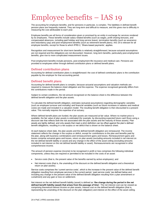# <span id="page-23-0"></span>Employee benefits – IAS 19

The accounting for employee benefits, and for pensions in particular, is complex. The liabilities in defined benefit pension plans are frequently material. They are long-term and difficult to measure, and this gives rise to difficulty in measuring the cost attributable to each year.

Employee benefits are all forms of consideration given or promised by an entity in exchange for services rendered by its employees. These benefits include salary-related benefits (such as wages, profit-sharing bonuses, and compensated absences, including paid holiday and long-service leave), termination benefits (such as severance and redundancy pay) and post-employment benefits (such as retirement benefit plans). IAS 19 is relevant for all employee benefits, except for those to which IFRS 2, 'Share-based payments', applies.

Recognition and measurement for short-term benefits is relatively straightforward, because actuarial assumptions are not required and the obligations are not discounted. However, long-term benefits, particularly post-employment benefits, give rise to more complicated measurement issues.

Post-employment benefits include pensions, post-employment life insurance and medical care. Pensions are provided to employees either through defined contribution plans or defined benefit plans.

### **Defined contribution plans**

Accounting for defined contribution plans is straightforward: the cost of defined contribution plans is the contribution payable by the employer for that accounting period.

### **Defined benefit plans**

Accounting for defined benefit plans is complex, because actuarial assumptions and valuation methods are required to measure the balance sheet obligation and the expense. The expense recognised generally differs from the contributions made in the period.

Subject to certain conditions, the net amount recognised on the balance sheet is the difference between the defined benefit obligation and the plan assets.

To calculate the defined benefit obligation, estimates (actuarial assumptions) regarding demographic variables (such as employee turnover and mortality) and financial variables (such as future increases in salaries and medical costs) are made and included in a valuation model. The resulting benefit obligation is then discounted to a present value. This normally requires the expertise of an actuary.

Where defined benefit plans are funded, the plan assets are measured at fair value. Where no market price is available, the fair value of plan assets is estimated (for example, by discounting expected future cash flows using a discount rate that reflects both the risk associated with the plan assets and the maturity of those assets). Plan assets are tightly defined, and only assets that meet a strict definition can be offset against the plan's defined benefit obligations, resulting in a net surplus or net deficit that is shown on the balance sheet.

At each balance sheet date, the plan assets and the defined benefit obligation are remeasured. The income statement reflects the change in the surplus or deficit, except for contributions to the plan and benefits paid by the plan, along with business combinations and remeasurement gains and losses. Remeasurement gains and losses comprise actuarial gains and losses, return on plan assets (excluding amounts included in net interest on the net defined benefit liability or asset) and any change in the effect of the asset ceiling (excluding amounts included in net interest on the net defined benefit liability or asset). Remeasurements are recognised in other comprehensive income.

The amount of pension expense (income) to be recognised in profit or loss comprises the following individual components, unless they are required or permitted to be included in the costs of an asset:

- Service costs (that is, the present value of the benefits earned by active employees); and
- Net interest costs (that is, the unwinding of the discount on the defined benefit obligation and a theoretical return on plan assets).

Service costs comprises the 'current service costs', which is the increase in the present value of the defined benefit obligation resulting from employee services in the current period, 'past service costs' (as defined below and including any change in the present value of the defined benefit obligation resulting from a plan amendment or curtailment) and any gain or loss on settlement.

Net interest on the net defined benefit liability (asset) is defined as **'the change during the period in the net defined benefit liability (asset) that arises from the passage of time'.** The net interest cost can be viewed as comprising theoretical interest income on plan assets, interest cost on the defined benefit obligation (that is, representing the unwinding of the discount on the plan obligation) and interest on the effect of the asset ceiling.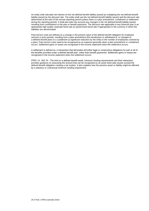An entity shall calculate net interest on the net defined benefit liability (asset) by multiplying the net defined benefit liability (asset) by the discount rate. The entity shall use the net defined benefit liability (asset) and the discount rate determined at the start of the annual reporting period (unless there is a plan amendment, curtailment or settlement during the reporting period). It shall also take into account any changes in the net defined benefit liability (asset) resulting from contributions to the plan or benefit payments. The discount rate applicable to any financial year is an appropriate high quality corporate bond rate (or government bond rate if appropriate) in the currency in which the liabilities are denominated

Past-service costs are defined as a change in the present value of the defined benefit obligation for employee services in prior periods, resulting from a plan amendment (the introduction or withdrawal of, or changes to, a defined benefit plan) or a curtailment (a significant reduction by the entity in the number of employees covered by a plan). Past-service costs need to be recognised as an expense generally when a plan amendment or curtailment occurs. Settlement gains or losses are recognised in the income statement when the settlement occurs.

A settlement is defined as 'a transaction that eliminates all further legal or constructive obligations for part or all of the benefits provided under a defined benefit plan' (other than benefit payments). Settlement gains or losses are recognised in the income statement when the settlement occurs.

IFRIC 14, 'IAS 19 – The limit on a defined benefit asset, minimum funding requirements and their interaction', provides guidance on assessing the amount that can be recognised as an asset when plan assets exceed the defined benefit obligation creating a net surplus. It also explains how the pension asset or liability might be affected by a statutory or contractual minimum funding requirement.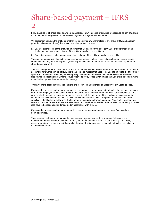# <span id="page-25-0"></span>Share-based payment – IFRS 2

IFRS 2 applies to all share-based payment transactions in which goods or services are received as part of a sharebased payment arrangement. A share-based payment arrangement is defined as:

'An agreement between the entity (or another group entity or any shareholder of any group entity) and another party (including an employee) that entitles the other party to receive:

- a. Cash or other assets of the entity for amounts that are based on the price (or value) of equity instruments (including shares or share options) of the entity or another group entity, or
- b. Equity instruments (including shares or share options) of the entity or another group entity.'

The most common application is to employee share schemes, such as share option schemes. However, entities sometimes also pay for other expenses, such as professional fees and for the purchase of assets, by means of share-based payment.

The accounting treatment under IFRS 2 is based on the fair value of the instruments. Both the valuation of and the accounting for awards can be difficult, due to the complex models that need to be used to calculate the fair value of options and also due to the variety and complexity of schemes. In addition, the standard requires extensive disclosures. The result generally is to reduce reported profits, especially in entities that use share-based payment extensively as part of their remuneration strategy.

Typically, share-based payment transactions are recognised as expenses or assets over any vesting period.

Equity-settled share-based payment transactions are measured at the grant date fair value for employee services; and, for non-employee transactions, they are measured at the fair value of the goods or services received at the date on which the entity recognises the goods or services. If the fair value of the goods or services cannot be estimated reliably (such as employee services and circumstances in which the goods or services cannot be specifically identified), the entity uses the fair value of the equity instruments granted. Additionally, management needs to consider if there are any unidentifiable goods or services received or to be received by the entity, as these also have to be recognised and measured in accordance with IFRS 2.

Equity-settled share-based payment transactions are not remeasured once the grant date fair value has been determined.

The treatment is different for cash-settled share-based payment transactions: cash-settled awards are measured at the fair value (as defined in IFRS 2, and not as defined in IFRS 13) of the liability. The liability is remeasured at each balance sheet date and at the date of settlement, with changes in fair value recognised in the income statement.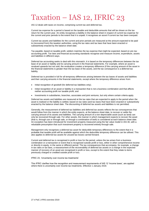## <span id="page-26-0"></span>Taxation – IAS 12, IFRIC 23

IAS 12 deals with taxes on income, comprising current tax and deferred tax.

Current tax expense for a period is based on the taxable and deductible amounts that will be shown on the tax return for the current year. An entity recognises a liability in the balance sheet in respect of current tax expense for the current and prior periods to the extent that it is unpaid. It recognises an asset if current tax has been overpaid.

Current tax assets and liabilities for the current and prior periods are measured at the amount expected to be paid to (recovered from) the taxation authorities, using the tax rates and tax laws that have been enacted or substantively enacted by the balance sheet date.

Tax payable, based on taxable profit, seldom matches the tax expense that might be expected, based on pre-tax accounting profit. Tax laws and financial accounting standards recognise and measure income, expenditure, assets and liabilities in different ways.

Deferred tax accounting seeks to deal with this mismatch. It is based on the temporary differences between the tax base of an asset or liability and its carrying amount in the financial statements. For example, where an asset is revalued upwards but not sold, the revaluation creates a temporary difference (if the carrying amount of the asset in the financial statements is greater than the tax base of the asset), and the tax consequence is a deferred tax liability.

Deferred tax is provided in full for all temporary differences arising between the tax bases of assets and liabilities and their carrying amounts in the financial statements, except where the temporary difference arises from:

- Initial recognition of goodwill (for deferred tax liabilities only);
- Initial recognition of an asset or liability in a transaction that is not a business combination and that affects neither accounting profit nor taxable profit; and
- Investments in subsidiaries, branches, associates and joint ventures, but only where certain criteria apply.

Deferred tax assets and liabilities are measured at the tax rates that are expected to apply to the period when the asset is realised or the liability is settled, based on tax rates (and tax laws) that have been enacted or substantively enacted by the balance sheet date. The discounting of deferred tax assets and liabilities is not permitted.

Generally, the measurement of deferred tax liabilities and deferred tax assets reflects the tax consequences that would follow from the manner in which the entity expects, at the balance sheet date, to recover or settle the carrying amount of its assets and liabilities. The carrying amount of a non-depreciable asset (such as land) can only be recovered through sale. For other assets, the manner in which management expects to recover the asset (that is, through use or through sale, or through a combination of both) is considered at each balance sheet date. An exception has been introduced for investment property measured using the fair value model in IAS 40, with a rebuttable presumption that such investment property is recovered entirely through sale.

Management only recognises a deferred tax asset for deductible temporary differences to the extent that it is probable that taxable profit will be available against which the deductible temporary difference can be utilised. This also applies to deferred tax assets for unused tax losses carried forward.

Current and deferred tax is recognised in profit or loss for the period, unless the tax arises from a business combination or a transaction or event that is recognised outside profit or loss, either in other comprehensive income or directly in equity, in the same or different period. The tax consequences that accompany, for example, a change in tax rates or tax laws, a reassessment of the recoverability of deferred tax assets or a change in the expected manner of recovery of an asset are recognised in profit or loss, except to the extent that they relate to items previously charged or credited outside profit or loss.

IFRIC 23, 'Uncertainty over income tax treatments'

This IFRIC clarifies how the recognition and measurement requirements of IAS 12 'Income taxes', are applied where there is uncertainty over income tax treatments. Effective 1 January 2019.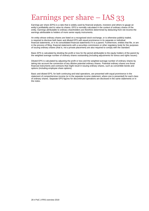## <span id="page-27-0"></span>[Earnings per share](https://inform.pwc.com/s/IAS_33_Earnings_per_share/informContent/0951075003157776#ic_0951075003157776) – IAS 33

Earnings per share (EPS) is a ratio that is widely used by financial analysts, investors and others to gauge an entity's profitability and to value its shares. EPS is normally calculated in the context of ordinary shares of the entity. Earnings attributable to ordinary shareholders are therefore determined by deducting from net income the earnings attributable to holders of more senior equity instruments.

An entity whose ordinary shares are listed on a recognised stock exchange, or is otherwise publicly traded, is required to disclose both basic and diluted EPS with equal prominence in its separate or individual financial statements, or in its consolidated financial statements if it is a parent. Furthermore, entities that file, or are in the process of filing, financial statements with a securities commission or other regulatory body for the purposes of issuing ordinary shares (that is, not a private placement) are also required to comply with the standard.

Basic EPS is calculated by dividing the profit or loss for the period attributable to the equity holders of the parent by the weighted average number of ordinary shares outstanding (including adjustments for bonus and rights issues).

Diluted EPS is calculated by adjusting the profit or loss and the weighted average number of ordinary shares by taking into account the conversion of any dilutive potential ordinary shares. Potential ordinary shares are those financial instruments and contracts that might result in issuing ordinary shares, such as convertible bonds and options (including employee share options).

Basic and diluted EPS, for both continuing and total operations, are presented with equal prominence in the statement of comprehensive income (or in the separate income statement, where one is presented) for each class of ordinary shares. Separate EPS figures for discontinued operations are disclosed in the same statements or in the notes.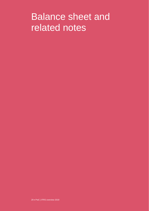# <span id="page-28-0"></span>Balance sheet and related notes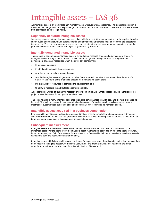# <span id="page-29-0"></span>Intangible assets – IAS 38

An intangible asset is an identifiable non-monetary asset without physical substance. The identifiable criterion is met when the intangible asset is separable (that is, when it can be sold, transferred or licensed), or where it arises from contractual or other legal rights.

### **Separately acquired intangible assets**

Separately acquired intangible assets are recognised initially at cost. Cost comprises the purchase price, including import duties and non-refundable purchase taxes and any directly attributable costs of preparing the asset for its intended use. The purchase price of a separately acquired intangible asset incorporates assumptions about the probable economic future benefits that might be generated by the asset.

### **Internally generated intangible assets**

The process of generating an intangible asset is divided into a research phase and a development phase. No intangible assets arising from the research phase can be recognised. Intangible assets arising from the development phase are recognised when the entity can demonstrate:

- Its technical feasibility;
- Its intention to complete the developments;
- Its ability to use or sell the intangible asset;
- How the intangible asset will generate probable future economic benefits (for example, the existence of a market for the output of the intangible asset or for the intangible asset itself);
- The availability of resources to complete the development; and
- Its ability to measure the attributable expenditure reliably.

Any expenditure written off during the research or development phase cannot subsequently be capitalised if the project meets the criteria for recognition at a later date.

The costs relating to many internally generated intangible items cannot be capitalised, and they are expensed as incurred. This includes research, start-up and advertising costs. Expenditure on internally generated brands, mastheads, customer lists, publishing titles and goodwill are not recognised as intangible assets.

### **Intangible assets acquired in a business combination**

If an intangible asset is acquired in a business combination, both the probability and measurement criterion are always considered to be met. An intangible asset will therefore always be recognised, regardless of whether it has been previously recognised in the acquiree's financial statements.

### **Subsequent measurement**

Intangible assets are amortised, unless they have an indefinite useful life. Amortisation is carried out on a systematic basis over the useful life of the intangible asset. An intangible asset has an indefinite useful life when, based on an analysis of all of the relevant factors, there is no foreseeable limit to the period over which the asset is expected to generate net cash inflows for the entity.

Intangible assets with finite useful lives are considered for impairment when there is an indication that the asset has been impaired. Intangible assets with indefinite useful lives, and intangible assets not yet in use, are tested annually for impairment and whenever there is an indication of impairment.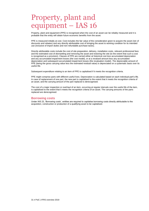### <span id="page-30-0"></span>Property, plant and equipment – IAS 16

Property, plant and equipment (PPE) is recognised when the cost of an asset can be reliably measured and it is probable that the entity will obtain future economic benefits from the asset.

PPE is measured initially at cost. Cost includes the fair value of the consideration given to acquire the asset (net of discounts and rebates) and any directly attributable cost of bringing the asset to working condition for its intended use (inclusive of import duties and non-refundable purchase taxes).

Directly attributable costs include the cost of site preparation, delivery, installation costs, relevant professional fees and the estimated cost of dismantling and removing the asset and restoring the site (to the extent that such a cost is recognised as a provision). Classes of PPE are carried either at historical cost less accumulated depreciation and any accumulated impairment losses (the cost model), or at a revalued amount less any accumulated depreciation and subsequent accumulated impairment losses (the revaluation model). The depreciable amount of PPE (being the gross carrying value less the estimated residual value) is depreciated on a systematic basis over its useful life.

Subsequent expenditure relating to an item of PPE is capitalised if it meets the recognition criteria.

PPE might comprise parts with different useful lives. Depreciation is calculated based on each individual part's life. In case of replacement of one part, the new part is capitalised to the extent that it meets the recognition criteria of an asset, and the carrying amount of the part replaced is derecognised.

The cost of a major inspection or overhaul of an item, occurring at regular intervals over the useful life of the item, is capitalised to the extent that it meets the recognition criteria of an asset. The carrying amounts of the parts replaced are derecognised.

### **Borrowing costs**

Under IAS 23, 'Borrowing costs', entities are required to capitalise borrowing costs directly attributable to the acquisition, construction or production of a qualifying asset to be capitalised.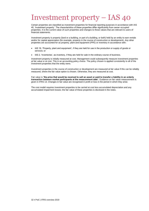# <span id="page-31-0"></span>Investment property – IAS 40

Certain properties are classified as investment properties for financial reporting purposes in accordance with IAS 40, 'Investment property'. The characteristics of these properties differ significantly from owner-occupied properties. It is the current value of such properties and changes to those values that are relevant to users of financial statements.

Investment property is property (land or a building, or part of a building, or both) held by an entity to earn rentals and/or for capital appreciation (for example, property in the course of construction or development). Any other properties are accounted for as property, plant and equipment (PPE) or inventory in accordance with:

- IAS 16, 'Property, plant and equipment', if they are held for use in the production or supply of goods or services; or
- IAS 2, 'Inventories', as inventory, if they are held for sale in the ordinary course of business.

Investment property is initially measured at cost. Management could subsequently measure investment properties at fair value or at cost. This is an accounting policy choice. The policy chosen is applied consistently to all of the investment properties that the entity owns.

Investment properties in the course of construction or development are measured at fair value if this can be reliably measured, where the fair value option is chosen. Otherwise, they are measured at cost.

Fair value is **'the price that would be received to sell an asset or paid to transfer a liability in an orderly transaction between market participants at the measurement date'.** Guidance on fair value measurement is given in IFRS 13. Changes in fair value are recognised in profit or loss in the period in which they arise.

The cost model requires investment properties to be carried at cost less accumulated depreciation and any accumulated impairment losses; the fair value of these properties is disclosed in the notes.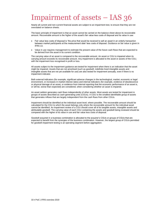# <span id="page-32-0"></span>Impairment of assets – IAS 36

Nearly all current and non-current financial assets are subject to an impairment test, to ensure that they are not overstated on balance sheets.

The basic principle of impairment is that an asset cannot be carried on the balance sheet above its recoverable amount. Recoverable amount is the higher of the asset's fair value less costs of disposal and its value in use:

- Fair value less costs of disposal is 'the price that would be received to sell an asset in an orderly transaction between market participants at the measurement date' less costs of disposal. Guidance on fair value is given in IFRS 13.
- Value in use requires management to estimate the present value of the future cash flows that are expected to be derived from the asset in its current condition.

The carrying value of an asset is compared to the recoverable amount. An asset or CGU is impaired when its carrying amount exceeds its recoverable amount. Any impairment is allocated to the asset or assets of the CGU, with the impairment loss recognised in profit or loss.

All assets subject to the impairment guidance are tested for impairment when there is an indication that the asset might be impaired. Assets that are not amortised (such as goodwill, indefinite-lived intangible assets and intangible assets that are not yet available for use) are also tested for impairment annually, even if there is no impairment indicator.

Both external indicators (for example, significant adverse changes in the technological, market, economic or legal environment, or increases in market interest rates) and internal indicators (for example, evidence of obsolescence or physical damage of an asset, or evidence from internal reporting that the economic performance of an asset is, or will be, worse than expected) are considered, when considering whether an asset is impaired.

An asset seldom generates cash flows independently of other assets. Most assets are tested for impairment in groups of assets described as cash-generating units (CGUs). A CGU is the smallest identifiable group of assets that generates inflows that are largely independent from the cash flows from other CGUs.

Impairment should be identified at the individual asset level, where possible. The recoverable amount should be calculated for the CGU to which the asset belongs only where the recoverable amount for the individual asset cannot be identified. An impairment review of a CGU should cover all of its tangible assets, intangible assets and attributable goodwill. The carrying value of each CGU containing the assets and goodwill being reviewed should be compared with the higher of its value in use and fair value less costs of disposal.

Goodwill acquired in a business combination is allocated to the acquirer's CGUs or groups of CGUs that are expected to benefit from the synergies of the business combination. However, the largest group of CGUs permitted for goodwill impairment testing is an operating segment before aggregation.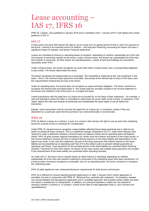### <span id="page-33-0"></span>Lease accounting – [IAS](https://inform.pwc.com/s/IAS_17_Leasing/informContent/0901082003182687#ic_0901082003182687) 17, [IFRS 16](https://inform.pwc.com/s/IFRS_16_Leases/informContent/1622044502155584#ic_1622044502155584)

IFRS 16, 'Leases', was published in January 2016 and is mandatory from 1 January 2019. It will replace the current guidance in IAS 17.

### **IAS 17**

A lease gives one party (the lessee) the right to use an asset over an agreed period of time in return for payment to the lessor. Leasing is an important source of medium – and long-term financing; accounting for leases can have a significant impact on lessees' and lessors' financial statements.

Leases are classified as finance or operating leases at inception, depending on whether substantially all of the risks and rewards of ownership transfer to the lessee. Under a finance lease, the lessee has substantially all of the risks and rewards of ownership. All other leases are operating leases. Leases of land and buildings are considered separately under IFRS.

Under a finance lease, the lessee recognises an asset held under a finance lease and a corresponding obligation to pay rentals. The lessee depreciates the asset.

The lessor recognises the leased asset as a receivable. The receivable is measured at the 'net investment' in the lease – that is, the minimum lease payments receivable, discounted at the internal rate of return of the lease, plus the unguaranteed residual that accrues to the lessor.

Under an operating lease, the lessee does not recognise an asset and lease obligation. The lessor continues to recognise the leased asset and depreciates it. The rentals paid are normally charged to the income statement of the lessee and credited to that of the lessor on a straight-line basis.

Linked transactions with the legal form of a lease are accounted for on the basis of their substance – for example, a sale and leaseback where the seller is committed to repurchase the asset might not be a lease, in substance, if the 'seller' retains the risks and rewards of ownership and substantially the same rights of use as before the transaction.

Equally, some transactions that do not have the legal form of a lease are, in substance, leases if they are dependent on a particular asset that the purchaser can control physically or economically.

### **IFRS 16**

IFRS 16 defines a lease as a contract, or part of a contract, that conveys the right to use an asset (the underlying asset) for a period of time in exchange for consideration.

Under IFRS 16, lessees have to recognise a lease liability reflecting future lease payments and a 'right-of-use asset' for almost all lease contracts. This is a significant change compared to IAS 17, under which lessees were required to make a distinction between a finance lease (on balance sheet) and an operating lease (off balance sheet). IFRS 16 gives lessees optional exemptions for certain short-term leases and leases of low-value assets. In the income statement, lessees will have to present interest expense on the lease liability and depreciation on the right-of-use asset. In the cash flow statement, the part of the lease payments that reflects interest on the lease liability can be presented as an operating cash flow (if it is the entity's policy to present interest payments as operating cash flows). Cash payments for the principal portion of the lease liability are classified within financing activities. Payments for short-term leases, for leases of low-value assets and variable lease payments not included in the measurement of the lease liability are presented within operating activities.

As under IAS 17, the lessor has to classify leases as either finance or operating, depending on whether substantially all of the risks and rewards incidental to ownership of the underlying asset have been transferred. For a finance lease, the lessor recognises a receivable; and, for an operating lease, the lessor continues to recognise the underlying asset.

IFRS 16 adds significant new, enhanced disclosure requirements for both lessors and lessees.

IFRS 16 is effective for annual reporting periods beginning on or after 1 January 2019. Earlier application is permitted, but only in conjunction with IFRS 15, 'Revenue from contracts with customers'. On transition, lessees can choose between full retrospective application and a 'simplified approach' that includes certain reliefs and does not require a restatement of comparatives. In addition, as a practical expedient, entities are not required to reassess whether a contract is, or contains, a lease at the date of initial application (that is, such contracts are 'grandfathered').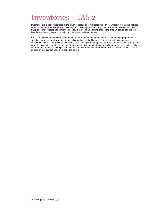### <span id="page-34-0"></span>Inventories – IAS 2

Inventories are initially recognised at the lower of cost and net realisable value (NRV). Cost of inventories includes import duties, non-refundable taxes, transport and handling costs, and any other directly attributable costs less trade discounts, rebates and similar items. NRV is the estimated selling price in the ordinary course of business, less the estimated costs of completion and estimated selling expenses.

IAS 2, 'Inventories', requires the cost for items that are not interchangeable or that have been segregated for specific contracts to be determined on an individual-item basis. The cost of other items of inventory used is assigned by using either the first-in, first-out (FIFO) or weighted average cost formula. Last-in, first-out (LIFO) is not permitted. An entity uses the same cost formula for all inventories that have a similar nature and use to the entity. A different cost formula could be justified where inventories have a different nature or use. The cost formula used is applied on a consistent basis from period to period.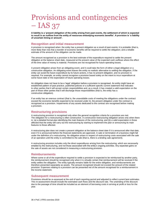## <span id="page-35-0"></span>Provisions and contingencies – IAS 37

**A liability is a 'present obligation of the entity arising from past events, the settlement of which is expected to result in an outflow from the entity of resources embodying economic benefits'. A provision is 'a liability of uncertain timing or amount'.**

### **Recognition and initial measurement**

A provision is recognised when: the entity has a present obligation as a result of past events; it is probable (that is, more likely than not) that a transfer of economic benefits will be required to settle the obligation; and a reliable estimate of the amount of the obligation can be made.

The amount recognised as a provision is the best estimate of the expenditure required to settle the present obligation at the balance sheet date, measured at the present value of the expected cash outflows where the effect of the time value of money is material. Provisions are not recognised for future operating losses.

A present obligation arises from an obligating event, and it could take the form of either a legal obligation or a constructive obligation. An obligating event leaves the entity no realistic alternative to settling the obligation. If the entity can avoid the future expenditure by its future actions, it has no present obligation, and no provision is required. For example, an entity cannot recognise a provision based solely on the intent to incur expenditure at some future date or the expectation of future operating losses.

An obligation does not have to be a 'legal' obligation before a provision is recognised. An entity might have an established pattern of past practice, published policies or a sufficient specific current statement that indicates to other parties that it will accept certain responsibilities and, as a result, it has created a valid expectation on the part of those other parties that it will discharge those responsibilities (that is, the entity has a constructive obligation).

If an entity has an onerous contract (that is, the unavoidable costs of meeting the obligations under the contract exceed the economic benefits expected to be received under it), the present obligation under the contract is recognised as a provision. Impairments of any assets dedicated to the contract are recognised before making a provision.

### **Restructuring provisions**

A restructuring provision is recognised only when the general recognition criteria for a provision are met. The obligation for a restructuring is often constructive. A constructive restructuring obligation arises only when there is: (a) a detailed formal plan identifying the main features of the restructuring; and (b) a valid expectation in those affected that the entity will carry out the restructuring by starting to implement the plan or announcing its main features to those affected.

A restructuring plan does not create a present obligation at the balance sheet date if it is announced after that date, even if it is announced before the financial statements are approved. A sale or termination of a business might fall under the definition of a restructuring. No obligation arises in respect of restructuring costs associated with the sale of an operation until the entity is committed to the sale (that is, there is a binding sale agreement).

A restructuring provision includes only the direct expenditures arising from the restructuring, which are necessarily entailed by the restructuring, and not those associated with the entity's ongoing activities. Any expected gains on the sale of assets are not considered in measuring a restructuring provision.

### **Reimbursements**

Where some or all of the expenditure required to settle a provision is expected to be reimbursed by another party, the reimbursement should be recognised only when it is virtually certain that reimbursement will be received if the entity settles the obligation. The entity typically remains liable for the entire obligation, and reimbursements are therefore presented separately as assets. The amount recognised should not exceed the amount of the related provision. Expenses relating to a provision can be presented net of the amount recognised for a reimbursement in the income statement.

#### **Subsequent measurement**

Provisions should be re-assessed at the end of each reporting period and adjusted to reflect current best estimates. This re-assessment should include the estimated cash flows and the discount rate. The unwinding of the discount due to the passage of time should be included as an element of borrowing costs in arriving at profit or loss for the year.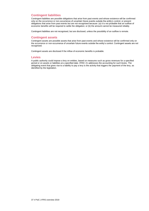### **Contingent liabilities**

Contingent liabilities are possible obligations that arise from past events and whose existence will be confirmed only on the occurrence or non-occurrence of uncertain future events outside the entity's control, or present obligations that arise from past events but are not recognised because: (a) it is not probable that an outflow of economic benefits will be required to settle the obligation; or (b) the amount cannot be measured reliably.

Contingent liabilities are not recognised, but are disclosed, unless the possibility of an outflow is remote.

### **Contingent assets**

Contingent assets are possible assets that arise from past events and whose existence will be confirmed only on the occurrence or non-occurrence of uncertain future events outside the entity's control. Contingent assets are not recognised.

Contingent assets are disclosed if the inflow of economic benefits is probable.

#### **Levies**

A public authority could impose a levy on entities, based on measures such as gross revenues for a specified period or on assets or liabilities at a specified date. IFRIC 21 addresses the accounting for such levies. The obligating event that gives rise to a liability to pay a levy is the activity that triggers the payment of the levy, as identified by the legislation.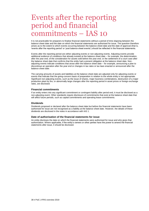### <span id="page-37-0"></span>Events after the reporting period and financial commitments – IAS 10

It is not practicable for preparers to finalise financial statements without a period of time elapsing between the balance sheet date and the date on which the financial statements are authorised for issue. The question therefore arises as to the extent to which events occurring between the balance sheet date and the date of approval (that is, 'events after the reporting period' or 'post balance sheet events') should be reflected in the financial statements.

Events after the reporting period are either adjusting events or non-adjusting events. Adjusting events provide additional evidence of conditions that already existed at the balance sheet date – for example, the determination, after the year end, of the consideration for assets sold before the year end; or the settlement of a court case after the balance sheet date that confirms that the entity had a present obligation at the balance sheet date. Nonadjusting events indicate conditions that arose after the balance sheet date – for example, announcing a plan to discontinue an operation after the year end or changes in tax rates or tax laws enacted or announced after the balance sheet date.

The carrying amounts of assets and liabilities at the balance sheet date are adjusted only for adjusting events or events that indicate that the going-concern basis of preparation in relation to the whole entity is not appropriate. Significant non-adjusting events, such as the issue of shares, major business combinations, destruction of a major production plant by fire, or abnormally large changes after the reporting period in asset prices or foreign exchange rates, are disclosed.

#### **Financial commitments**

If an entity enters into any significant commitment or contingent liability after period end, it must be disclosed as a non-adjusting event. Other standards require disclosure of commitments that exist at the balance sheet date that will affect future periods, such as capital commitments and operating lease commitments.

#### **Dividends**

Dividends proposed or declared after the balance sheet date but before the financial statements have been authorised for issue are not recognised as a liability at the balance sheet date. However, the details of these dividends are disclosed in the notes in accordance with IAS 1.

#### **Date of authorisation of the financial statements for issue**

An entity discloses the date on which the financial statements were authorised for issue and who gives that authorisation. Where applicable, if the entity's owners or other parties have the power to amend the financial statements after issue, it should be disclosed.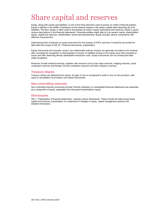# <span id="page-38-0"></span>Share capital and reserves

Equity, along with assets and liabilities, is one of the three elements used to portray an entity's financial position. Equity is defined in the IASB's Framework as the residual interest in the entity's assets after deducting all of its liabilities. The term 'equity' is often used to encompass an entity's equity instruments and reserves. Equity is given various descriptions in the financial statements. Corporate entities might refer to it as owners' equity, shareholders' equity, capital and reserves, shareholders' funds and proprietorship. Equity includes various components with different characteristics.

Determining what constitutes an equity instrument for the purpose of IFRS, and how it should be accounted for, falls within the scope of IAS 32, 'Financial instruments: presentation'.

Equity instruments (for example, issued, non-redeemable ordinary shares) are generally recorded as the residual after recording the recognition or derecognition of assets or liabilities arising on the equity issue (the proceeds of issue) and after deducting directly attributable transaction costs. Equity instruments are not remeasured after initial recognition.

Reserves include retained earnings, together with reserves such as fair value reserves, hedging reserves, asset revaluation reserves and foreign currency translation reserves and other statutory reserves.

### **Treasury shares**

Treasury shares are deducted from equity. No gain or loss is recognised in profit or loss on the purchase, sale, issue or cancellation of an entity's own equity instruments.

### **Non-controlling interests**

Non-controlling interests (previously termed 'minority interests') in consolidated financial statements are presented as a component of equity, separately from the parent shareholders' equity.

### **Disclosures**

IAS 1, 'Presentation of financial statements', requires various disclosures. These include the total issued share capital and reserves, presentation of a statement of changes in equity, capital management policies and dividend information.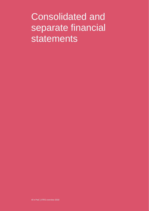# <span id="page-39-0"></span>Consolidated and separate financial statements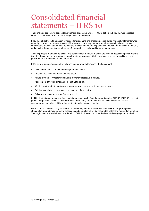### <span id="page-40-0"></span>Consolidated financial statements – IFRS 10

The principles concerning consolidated financial statements under IFRS are set out in IFRS 10, 'Consolidated financial statements'. IFRS 10 has a single definition of control.

IFRS 10's objective is to establish principles for presenting and preparing consolidated financial statements when an entity controls one or more entities. IFRS 10 sets out the requirements for when an entity should prepare consolidated financial statements, defines the principles of control, explains how to apply the principles of control, and explains the accounting requirements for preparing consolidated financial statements.

The key principle is that control exists, and consolidation is required, only if the investor possesses power over the investee, has exposure to variable returns from its involvement with the investee, and has the ability to use its power over the investee to affect its returns.

IFRS 10 provides guidance on the following issues when determining who has control:

- Assessment of the purpose and design of an investee.
- Relevant activities and power to direct those.
- Nature of rights Whether substantive or merely protective in nature.
- Assessment of voting rights and potential voting rights.
- Whether an investor is a principal or an agent when exercising its controlling power.
- Relationships between investors and how they affect control.
- Existence of power over specified assets only.

In difficult situations, the precise facts and circumstances will affect the analysis under IFRS 10. IFRS 10 does not provide 'bright lines', and it requires consideration of many factors, such as the existence of contractual arrangements and rights held by other parties, in order to assess control.

IFRS 10 does not contain any disclosure requirements; these are included within IFRS 12. Reporting entities should plan for, and implement, the processes and controls that will be required to gather the required information. This might involve a preliminary consideration of IFRS 12 issues, such as the level of disaggregation required.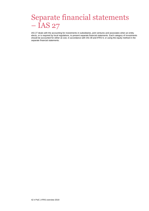### <span id="page-41-0"></span>Separate financial statements – IAS 27

IAS 27 deals with the accounting for investments in subsidiaries, joint ventures and associates when an entity elects, or is required by local regulations, to present separate financial statements. Each category of investments should be accounted for either at cost, in accordance with IAS 39 and IFRS 9, or using the equity method in the separate financial statements.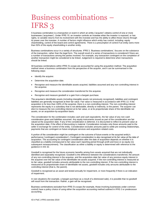## <span id="page-42-0"></span>[Business combinations](https://inform.pwc.com/s/IFRS_3_Business_combinations/informContent/0934175304100500#ic_0934175304100500) – [IFRS](https://inform.pwc.com/s/IFRS_3_Business_combinations/informContent/0934175304100500#ic_0934175304100500) 3

A business combination is a transaction or event in which an entity ('acquirer') obtains control of one or more businesses ('acquirees'). Under IFRS 10, an investor controls an investee when the investor is exposed, or has rights, to variable returns from its involvement with the investee and has the ability to affect those returns through its power over the investee. A number of factors might influence which entity has control, including: equity shareholding, control of the board and control agreements. There is a presumption of control if an entity owns more than 50% of the equity shareholding in another entity.

Business combinations occur in a variety of structures. IFRS 3, 'Business combinations', focuses on the substance of the transaction, rather than the legal form. The overall result of a series of transactions is considered if there are a number of transactions among the parties involved. For example, any transaction contingent on the completion of another transaction might be considered to be linked. Judgement is required to determine when transactions should be linked.

All business combinations within IFRS 3's scope are accounted for using the acquisition method. The acquisition method views a business combination from the perspective of the acquirer, and it can be summarised in the following steps:

- Identify the acquirer.
- Determine the acquisition date.
- Recognise and measure the identifiable assets acquired, liabilities assumed and any non-controlling interest in the acquiree.
- Recognise and measure the consideration transferred for the acquiree.
- Recognise and measure goodwill or a gain from a bargain purchase.

The acquiree's identifiable assets (including intangible assets not previously recognised), liabilities and contingent liabilities are generally recognised at their fair value. Fair value is measured in accordance with IFRS 13. If the acquisition is for less than 100% of the acquiree, there is a non-controlling interest. The non-controlling interest represents the equity in a subsidiary that is not attributable, directly or indirectly, to the parent. The acquirer can elect to measure the non-controlling interest at its fair value, or at its proportionate share of the identifiable net assets, on an acquisition-by-acquisition basis.

The consideration for the combination includes cash and cash equivalents, the fair value of any non-cash consideration given and liabilities assumed. Any equity instruments issued as part of the consideration are fair valued at the acquisition date. If any of the consideration is deferred, it is discounted to reflect its present value at the acquisition date, if the effect of discounting is material. Consideration includes only those amounts paid to the seller in exchange for control of the entity. Consideration excludes amounts paid to settle pre-existing relationships, payments that are contingent on future employee services and acquisition-related costs.

A portion of the consideration might be contingent on the outcome of future events or the acquired entity's performance ('contingent consideration'). Contingent consideration is also recognised at its fair value at the date of acquisition. The accounting for contingent consideration after the date of acquisition depends on whether it is classified as a liability (remeasured to fair value each reporting period through profit and loss) or as equity (no subsequent remeasurement). The classification as either a liability or equity is determined with reference to the guidance in IAS 32.

Goodwill is recognised for the future economic benefits arising from assets acquired that are not individually identified and separately recognised. Goodwill is the difference between the considerations transferred, the amount of any non-controlling interest in the acquiree, and the acquisition-date fair value of any previous equity interest in the acquiree over the fair value of the identifiable net assets acquired. If the non-controlling interest is measured at its fair value, goodwill includes amounts attributable to the non-controlling interest. If the non-controlling interest is measured at its proportionate share of identifiable net assets, goodwill includes only amounts attributable to the controlling interest (that is, the parent).

Goodwill is recognised as an asset and tested annually for impairment, or more frequently if there is an indication of impairment.

In rare situations (for example, a bargain purchase as a result of a distressed sale), it is possible that no goodwill will result from the transaction. Rather, a gain will be recognised.

Business combinations excluded from IFRS 3's scope (for example, those involving businesses under common control) have a policy choice of using either the acquisition accounting method outlined in IFRS 3 or predecessor accounting.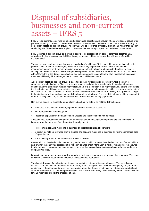### <span id="page-43-0"></span>[Disposal of subsidiaries,](https://inform.pwc.com/s/IFRS_5_IFRS_10_Disposal_of_subsidiaries_businesses_and_non_current_assets/informContent/0922073503147609#ic_0922073503147609)  [businesses and non-current](https://inform.pwc.com/s/IFRS_5_IFRS_10_Disposal_of_subsidiaries_businesses_and_non_current_assets/informContent/0922073503147609#ic_0922073503147609)  assets – [IFRS 5](https://inform.pwc.com/s/IFRS_5_IFRS_10_Disposal_of_subsidiaries_businesses_and_non_current_assets/informContent/0922073503147609#ic_0922073503147609)

IFRS 5, 'Non-current assets held for sale and discontinued operations', is relevant when any disposal occurs or is planned, including distribution of non-current assets to shareholders. The held-for-sale criteria in IFRS 5 apply to non-current assets (or disposal groups) whose value will be recovered principally through sale rather than through continuing use. The criteria do not apply to non-assets that are being scrapped, wound down or abandoned.

IFRS 5 defines a disposal group as a group of assets to be disposed of, by sale or otherwise, together as a group in a single transaction, and liabilities directly associated with those assets that will be transferred in the transaction.

The non-current asset (or disposal group) is classified as 'held for sale' if it is available for immediate sale in its present condition and its sale is highly probable. A sale is 'highly probable' where: there is evidence of management commitment; there is an active programme to locate a buyer and complete the plan; the asset is actively marketed for sale at a reasonable price compared to its fair value; the sale is expected to be completed within 12 months of the date of classification; and actions required to complete the plan indicate that it is unlikely that there will be significant changes to the plan or that it will be withdrawn.

A non-current asset (or disposal group) is classified as 'held for distribution to owners' where the entity is committed to such distribution (that is, the assets must be available for immediate distribution in their present condition and the distribution must be highly probable). For a distribution to be highly probable, actions to complete the distribution should have been initiated and should be expected to be completed within one year from the date of classification. Actions required to complete the distribution should indicate that it is unlikely that significant changes to the distribution will be made or that the distribution will be withdrawn. The probability of shareholders' approval (if required in the jurisdiction) should be considered in the assessment of 'highly probable'.

Non-current assets (or disposal groups) classified as held for sale or as held for distribution are:

- Measured at the lower of the carrying amount and fair value less costs to sell;
- Not depreciated or amortised; and
- Presented separately in the balance sheet (assets and liabilities should not be offset).

A discontinued operation is a component of an entity that can be distinguished operationally and financially for financial reporting purposes from the rest of the entity, and it:

- Represents a separate major line of business or geographical area of operation;
- Is part of a single co-ordinated plan to dispose of a separate major line of business or major geographical area of operation; or
- Is a subsidiary acquired exclusively with a view to resale?

An operation is classified as discontinued only at the date on which it meets the criteria to be classified as held for sale or when the entity has disposed of it. Although balance sheet information is neither restated nor remeasured for discontinued operations, the statement of comprehensive income information does have to be restated for the comparative period.

Discontinued operations are presented separately in the income statement and the cash flow statement. There are additional disclosure requirements in relation to discontinued operations.

The date of disposal of a subsidiary or disposal group is the date on which control passes. The consolidated income statement includes the results of a subsidiary or disposal group up to the date of disposal; the gain or loss on disposal is the difference between (a) the carrying amount of the net assets plus any attributable goodwill and amounts accumulated in other comprehensive income (for example, foreign translation adjustments and availablefor-sale reserves), and (b) the proceeds of sale.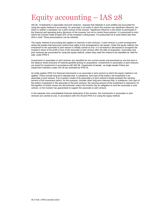# <span id="page-44-0"></span>Equity accounting – IAS 28

IAS 28, 'Investments in associates and joint ventures', requires that interests in such entities are accounted for using the equity method of accounting. An associate is an entity in which the investor has significant influence, but which is neither a subsidiary nor a joint venture of the investor. Significant influence is the power to participate in the financial and operating policy decisions of the investee, but not to control those policies. It is presumed to exist where the investor holds at least 20% of the investee's voting power. It is presumed not to exist where less than 20% is held. These presumptions can be rebutted.

The equity method of accounting also applies to interests in joint ventures. A joint venture is a joint arrangement where the parties that have joint control have rights to the arrangement's net assets. Under the equity method, the investment in the associate or joint venture is initially carried at cost. It is increased or decreased to recognise the investor's share of the profit or loss of the associate or joint venture after the date of acquisition. Associates and joint ventures are accounted for using the equity method, unless they meet the criteria to be classified as 'held for sale' under IFRS 5.

Investments in associates or joint ventures are classified as non-current assets and presented as one line item in the balance sheet (inclusive of notional goodwill arising on acquisition). Investments in associates or joint ventures are tested for impairment in accordance with IAS 36, 'Impairment of assets', as single assets if there are impairment indicators under IAS 28 (as amended by IFRS 9).

An entity applies IFRS 9 to financial instruments in an associate or joint venture to which the equity method is not applied. These include long-term interests that, in substance, form part of the entity's net investment in an associate or joint venture. If an investor's share of its associate's or joint venture's losses exceeds the carrying amount of the investment (which, for this purpose, includes other long-term interests that, in substance, form part of the entity's investment in the associate or the joint venture), the carrying amount of the investment is reduced to nil. Recognition of further losses are discontinued, unless the investor has an obligation to fund the associate or joint venture, or the investor has guaranteed to support the associate or joint venture.

In the separate (non-consolidated) financial statements of the investor, the investments in associates or joint ventures are carried at cost, in accordance with IAS 39 and IFRS 9 or using the equity method.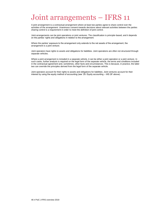# <span id="page-45-0"></span>Joint arrangements – IFRS 11

A joint arrangement is a contractual arrangement where at least two parties agree to share control over the activities of the arrangement. Unanimous consent towards decisions about relevant activities between the parties sharing control is a requirement in order to meet the definition of joint control.

Joint arrangements can be joint operations or joint ventures. The classification is principle-based, and it depends on the parties' rights and obligations in relation to the arrangement.

Where the parties' exposure to the arrangement only extends to the net assets of the arrangement, the arrangement is a joint venture.

Joint operators have rights to assets and obligations for liabilities. Joint operations are often not structured through separate vehicles.

Where a joint arrangement is included in a separate vehicle, it can be either a joint operation or a joint venture. In such cases, further analysis is required on the legal form of the separate vehicle, the terms and conditions included in the contractual agreement and, sometimes, other facts and circumstances. This is because, in practice, the latter two can override the principles derived from the legal form of the separate vehicle.

Joint operators account for their rights to assets and obligations for liabilities. Joint ventures account for their interest by using the equity method of accounting (see '29. Equity accounting – IAS 28' above).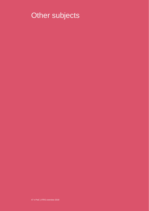# <span id="page-46-0"></span>Other subjects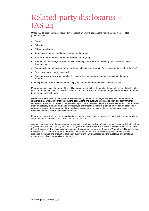### <span id="page-47-0"></span>[Related-party disclosures](https://inform.pwc.com/s/IAS_24_Related_party_disclosures/informContent/0905082003182694#ic_0905082003182694) – [IAS 24](https://inform.pwc.com/s/IAS_24_Related_party_disclosures/informContent/0905082003182694#ic_0905082003182694)

Under IAS 24, disclosures are required in respect of an entity's transactions with related parties. Related parties include:

- Parents;
- Subsidiaries;
- Fellow subsidiaries;
- Associates of the entity and other members of the group;
- Joint ventures of the entity and other members of the group;
- Members of key management personnel of the entity or of a parent of the entity (and close members of their families);
- Persons with control, joint control or significant influence over the entity (and close members of their families);
- Post-employment benefit plans; and
- Entities (or any of their group members) providing key management personnel services to the entity or its parent.

Finance providers are not related parties simply because of their normal dealings with the entity.

Management discloses the name of the entity's parent and, if different, the ultimate controlling party (which could be a person). Relationships between a parent and its subsidiaries are disclosed, irrespective of whether there have been transactions with them.

Where there have been related party transactions during the period, management discloses the nature of the relationship, as well as information about the transactions and outstanding balances, including commitments, necessary for users to understand the potential impact of the relationship on the financial statements. Disclosure is made by category of related party and by major type of transaction. Items of a similar nature can be disclosed in aggregate, except where separate disclosure is necessary for an understanding of the effects of related party transactions on the entity's financial statements.

Management only discloses that related party transactions were made on terms equivalent to those that prevail in arm's length transactions, if such terms can be substantiated.

An entity is exempt from the disclosure of transactions (and outstanding balances) with a related party that is either a government that has control, joint control or significant influence over the entity or is another entity that is under the control, joint control or significant influence of the same government as the entity. Where the entity applies the exemption, it discloses the name of the government and the nature of its relationship with the entity. It also discloses the nature and amount of each individually significant transaction and the qualitative or quantitative extent of any collectively significant transactions.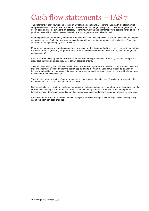### <span id="page-48-0"></span>Cash flow statements – IAS 7

The statement of cash flows is one of the primary statements in financial reporting (along with the statement of comprehensive income, the balance sheet and the statement of changes in equity). It presents the generation and use of 'cash and cash equivalents' by category (operating, investing and financing) over a specific period of time. It provides users with a basis to assess the entity's ability to generate and utilise its cash.

Operating activities are the entity's revenue-producing activities. Investing activities are the acquisition and disposal of long-term assets (including business combinations) and investments that are not cash equivalents. Financing activities are changes in equity and borrowings.

Management can present operating cash flows by using either the direct method (gross cash receipts/payments) or the indirect method (adjusting net profit or loss for non-operating and non-cash transactions, and for changes in working capital).

Cash flows from investing and financing activities are reported separately gross (that is, gross cash receipts and gross cash payments), unless they meet certain specified criteria.

The cash flows arising from dividends and interest receipts and payments are classified on a consistent basis, and they are separately disclosed under the activity appropriate to their nature. Cash flows relating to taxation on income are classified and separately disclosed under operating activities, unless they can be specifically attributed to investing or financing activities.

The total that summarises the effect of the operating, investing and financing cash flows is the movement in the balance of cash and cash equivalents for the period.

Separate disclosure is made of significant non-cash transactions (such as the issue of equity for the acquisition of a subsidiary or the acquisition of an asset through a finance lease). Non-cash transactions include impairment losses/reversals, depreciation, amortisation, fair value gains/losses, and income statement charges for provisions.

Additional disclosures are required to explain changes in liabilities arising from financing activities, distinguishing cash flows from non-cash changes.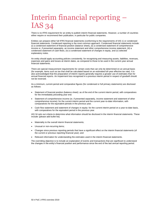## <span id="page-49-0"></span>Interim financial reporting – IAS 34

There is no IFRS requirement for an entity to publish interim financial statements. However, a number of countries either require or recommend their publication, in particular for public companies.

Entities can prepare either full IFRS financial statements (conforming to the requirements of IAS 1) or condensed financial statements. Condensed reporting is the most common approach. Condensed financial statements include: (i) a condensed statement of financial position (balance sheet), (ii) a condensed statement of comprehensive income or, if presented separately, an income statement and other comprehensive income statement, (iii) a condensed statement of cash flows, (iv) a condensed statement of changes in equity, and (v) selected explanatory notes.

An entity should apply accounting policies consistently, for recognising and measuring assets, liabilities, revenues, expenses and gains and losses at interim dates, as compared to those to be used in the current-year annual financial statements.

There are special measurement requirements for certain costs that can only be determined on an annual basis (for example, items such as tax that shall be calculated based on an estimated full-year effective tax rate). It is also acknowledged that the preparation of interim reports generally requires a greater use of estimates than for annual financial reports. An impairment loss recognised in a previous interim period in respect of goodwill should not be reversed.

As a minimum, current-period and comparative figures (for condensed or full primary statements) are disclosed as follows:

- Statement of financial position (balance sheet): as of the end of the current interim period, with comparatives for the immediately preceding year end.
- Statement of comprehensive income (or, if presented separately, income statement and statement of other comprehensive income): for the current interim period and the current year-to-date information, with comparatives for the equivalent periods in the previous year.
- Cash flow statement and statement of changes in equity: for the current interim period on a year-to-date basis, with comparatives for the equivalent period in the previous year.

IAS 34 sets out criteria to determine what information should be disclosed in the interim financial statements. These include: [please add bullet list]

- Materiality to the overall interim financial statements;
- Unusual or non-recurring items;
- Changes since previous reporting periods that have a significant effect on the interim financial statements (of the current or previous reporting financial year); and
- Relevant information for understanding the estimates used in the interim financial statements.

The overriding objective is to include an explanation of events and transactions that are significant to understand the changes in the entity's financial position and performance since the end of the last annual reporting period.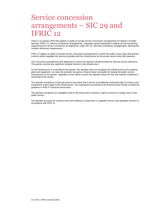### <span id="page-50-0"></span>Service concession arrangements – SIC 29 and IFRIC 12

There is no specific IFRS that applies to public-to-private service concession arrangements for delivery of public services. IFRIC 12, 'Service concession arrangements', interprets various standards in setting out the accounting requirements for service concession arrangements, while SIC 29, 'Services concession arrangements: disclosures', contains disclosure requirements.

IFRIC 12 applies to public-to-private service concession arrangements in which the public sector body (the grantor) controls and/or regulates the services provided with the infrastructure by the private sector entity (the operator).

The concession arrangement also addresses to whom the operator should provide the services and at what price. The grantor controls any significant residual interest in the infrastructure.

As the infrastructure is controlled by the grantor, the operator does not recognise the infrastructure as its property, plant and equipment; nor does the operator recognise a finance lease receivable for leasing the public service infrastructure to the grantor, regardless of the extent to which the operator bears the risk and rewards incidental to ownership of the assets.

The operator recognises a financial asset to the extent that it has an unconditional contractual right to receive cash irrespective of the usage of the infrastructure. The subsequent accounting of the financial asset should consider the guidance in IFRS 9 'Financial Instruments'

The operator recognises an intangible asset to the extent that it receives a right (a licence) to charge users of the public service.

The operator accounts for revenue and costs relating to construction or upgrade services and operation services in accordance with IFRS 15.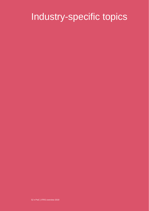# <span id="page-51-0"></span>Industry-specific topics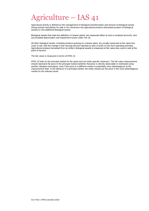# <span id="page-52-0"></span>[Agriculture](https://inform.pwc.com/s/IAS_41_Agriculture/informContent/0936075103137352#ic_0936075103137352) – IAS 41

Agricultural activity is defined as the management of biological transformation and harvest of biological assets (living animals and plants) for sale or for conversion into agricultural produce (harvested product of biological assets) or into additional biological assets.

Biological assets that meet the definition of 'bearer plants' are measured either at cost or revalued amounts, less accumulated depreciation and impairment losses under IAS 16.

All other biological assets, including produce growing on a bearer plant, are usually measured at fair value less costs to sell, with the change in the carrying amount reported as part of profit or loss from operating activities. Agricultural produce harvested from an entity's biological assets is measured at fair value less costs to sell at the point of harvest.

The fair value is measured in terms of IFRS 13.

IFRS 13 looks to the principal market for the asset and not entity-specific measures. The fair value measurement should represent the price in the principal market (whether that price is directly observable or estimated using another valuation technique), even if the price in a different market is potentially more advantageous at the measurement date. In the absence of a principal market, the entity should use the price in the most advantageous market for the relevant asset.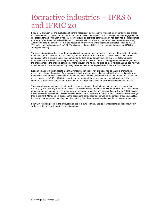### <span id="page-53-0"></span>Extractive industries – IFRS 6 and IFRIC 20

IFRS 6, 'Exploration for and evaluation of mineral resources', addresses the financial reporting for the exploration for and evaluation of mineral resources. It does not address other aspects of accounting by entities engaged in the exploration for and evaluation of mineral reserves (such as activities before an entity has acquired the legal right to explore, or after the technical feasibility and commercial viability to extract resources have been demonstrated). Activities outside the scope of IFRS 6 are accounted for according to the applicable standards (such as IAS 16, 'Property, plant and equipment', IAS 37, 'Provisions, contingent liabilities and contingent assets', and IAS 38, 'Intangible assets').

The accounting policy adopted for the recognition of exploration and evaluation assets should result in information that is relevant and reliable. As a concession, certain further rules of IAS 8 need not be applied. This permits companies in the extractive sector to continue, for the time being, to apply policies that were followed under national GAAP that would not comply with the requirements of IFRS. The accounting policy can be changed only if the change makes the financial statements more relevant and no less reliable, or more reliable and no less relevant – in other words, if the new accounting policy takes it closer to the requirements in the IASB's Framework.

Exploration and evaluation assets are initially measured at cost. They are classified as tangible or intangible assets, according to the nature of the assets acquired. Management applies that classification consistently. After recognition, management applies either the cost model or the revaluation model to the exploration and evaluation assets, based on IAS 16 or IAS 38, according to the nature of the assets. As soon as technical feasibility and commercial viability are determined, the assets are no longer classified as exploration and evaluation assets.

The exploration and evaluation assets are tested for impairment when facts and circumstances suggest that the carrying amounts might not be recovered. The assets are also tested for impairment before reclassification out of exploration and evaluation. The impairment is measured, presented and disclosed according to IAS 36, except that exploration and evaluation assets are allocated to CGUs or groups of CGUs, either of which must be no larger than a segment. Management discloses the accounting policy adopted, as well as the amount of assets, liabilities, income and expense and investing cash flows arising from the exploration and evaluation of mineral resources.

IFRIC 20, 'Stripping costs in the production phase of a surface mine', applies to waste removal costs incurred in surface mining activity during the production phase.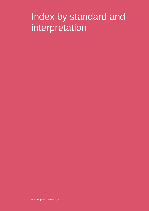# <span id="page-54-0"></span>Index by standard and interpretation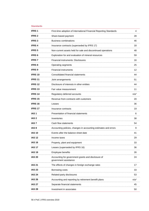### **Standards**

| <b>IFRS1</b>     | First-time adoption of International Financial Reporting Standards          | 4       |
|------------------|-----------------------------------------------------------------------------|---------|
| <b>IFRS 2</b>    | Share-based payment                                                         | 28      |
| <b>IFRS3</b>     | <b>Business combinations</b>                                                | 46      |
| <b>IFRS4</b>     | Insurance contracts (superseded by IFRS 17)                                 | 18      |
| <b>IFRS5</b>     | Non-current assets held for sale and discontinued operations                | 48      |
| <b>IFRS 6</b>    | Exploration for and evaluation of mineral resources                         | 59      |
| <b>IFRS7</b>     | Financial instruments: Disclosures                                          | 16      |
| <b>IFRS 8</b>    | Operating segments                                                          | 25      |
| <b>IFRS 9</b>    | <b>Financial instruments</b>                                                | 12      |
| <b>IFRS10</b>    | Consolidated financial statements                                           | 44      |
| <b>IFRS 11</b>   | Joint arrangements                                                          | 51      |
| <b>IFRS 12</b>   | Disclosure of interests in other entities                                   | 44      |
| <b>IFRS 13</b>   | Fair value measurement                                                      | 11      |
| <b>IFRS 14</b>   | Regulatory deferred accounts                                                | $n/a^*$ |
| <b>IFRS 15</b>   | Revenue from contracts with customers                                       | 20      |
| <b>IFRS 16</b>   | Leases                                                                      | 36      |
| <b>IFRS 17</b>   | Insurance contracts                                                         | 19      |
| IAS <sub>1</sub> | Presentation of financial statements                                        | 6       |
| IAS 2            | Inventories                                                                 | 38      |
| <b>IAS 7</b>     | Cash flow statements                                                        | 54      |
| IAS <sub>8</sub> | Accounting policies, changes in accounting estimates and errors             | 9       |
| <b>IAS 10</b>    | Events after the balance sheet date                                         | 41      |
| <b>IAS 12</b>    | Income taxes                                                                | 29      |
| <b>IAS 16</b>    | Property, plant and equipment                                               | 33      |
| <b>IAS 17</b>    | Leases (superseded by IFRS 16)                                              | 36      |
| <b>IAS 19</b>    | Employee benefits                                                           | 26      |
| <b>IAS 20</b>    | Accounting for government grants and disclosure of<br>government assistance | 24      |
| <b>IAS 21</b>    | The effects of changes in foreign exchange rates                            | 17      |
| <b>IAS 23</b>    | Borrowing costs                                                             | 33      |
| <b>IAS 24</b>    | Related-party disclosures                                                   | 53      |
| <b>IAS 26</b>    | Accounting and reporting by retirement benefit plans                        | $n/a^*$ |
| <b>IAS 27</b>    | Separate financial statements                                               | 45      |
| <b>IAS 28</b>    | Investment in associates                                                    | 50      |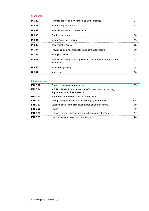### **Standards**

| <b>IAS 29</b> | Financial reporting in hyperinflationary economies                           | 17 |
|---------------|------------------------------------------------------------------------------|----|
| <b>IAS 31</b> | Interests in joint ventures                                                  | 51 |
| <b>IAS 32</b> | Financial instruments: presentation                                          | 13 |
| <b>IAS 33</b> | Earnings per share                                                           | 30 |
| <b>IAS 34</b> | Interim financial reporting                                                  | 55 |
| <b>IAS 36</b> | Impairment of assets                                                         | 35 |
| <b>IAS 37</b> | Provisions, contingent liabilities and contingent assets                     | 39 |
| <b>IAS 38</b> | Intangible assets                                                            | 32 |
| <b>IAS 39</b> | Financial instruments: Recognition and measurement (superseded<br>by IFRS 9) | 14 |
| <b>IAS 40</b> | Investment property                                                          | 34 |
| <b>IAS 41</b> | Agriculture                                                                  | 58 |

### **Interpretations**

| <b>IFRIC 12</b> | Service concession arrangements                                                                        | 55      |
|-----------------|--------------------------------------------------------------------------------------------------------|---------|
| <b>IFRIC 14</b> | IAS $19$ – The limit on a defined benefit asset, minimum funding<br>requirements and their interaction | 27      |
| <b>IFRIC 15</b> | Agreements for the construction of real estate                                                         | 23      |
| <b>IFRIC 19</b> | Extinguishing financial liabilities with equity instruments                                            | $n/a^*$ |
| <b>IFRIC 20</b> | Stripping costs in the production phase of a surface mine                                              | 59      |
| <b>IFRIC 21</b> | Levies                                                                                                 | 40      |
| <b>IFRIC 22</b> | Foreign currency transactions and advance consideration                                                | 17      |
| <b>IFRIC 23</b> | Uncertainty over income tax treatments                                                                 | 28      |